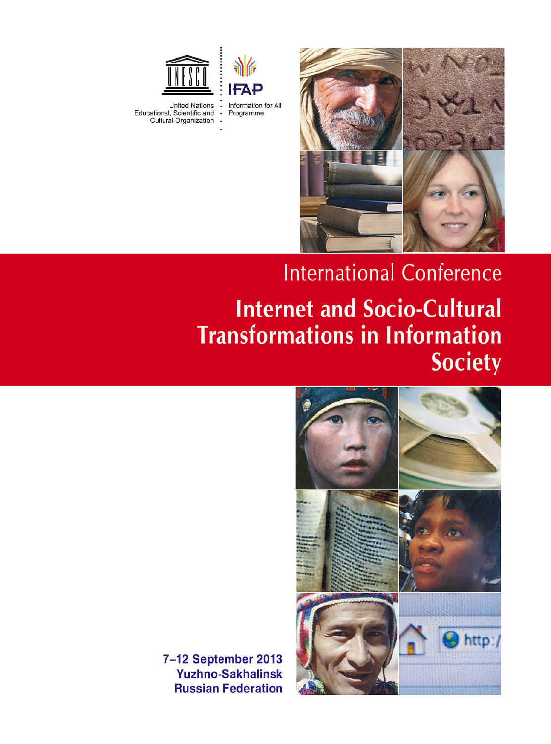



Educational, Scientific and<br>Cultural Organization



# **International Conference Internet and Socio-Cultural Transformations in Information Society**



7-12 September 2013 **Yuzhno-Sakhalinsk Russian Federation**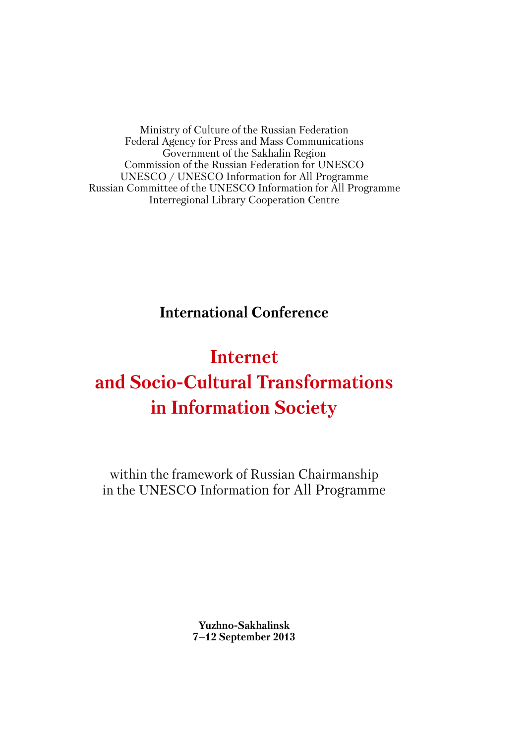Ministry of Culture of the Russian Federation Federal Agency for Press and Mass Communications Government of the Sakhalin Region Commission of the Russian Federation for UNESCO UNESCO / UNESCO Information for All Programme Russian Committee of the UNESCO Information for All Programme Interregional Library Cooperation Centre

**International Conference**

# **Internet and Socio-Cultural Transformations in Information Society**

within the framework of Russian Chairmanship in the UNESCO Information for All Programme

> **Yuzhno-Sakhalinsk 7–12 September 2013**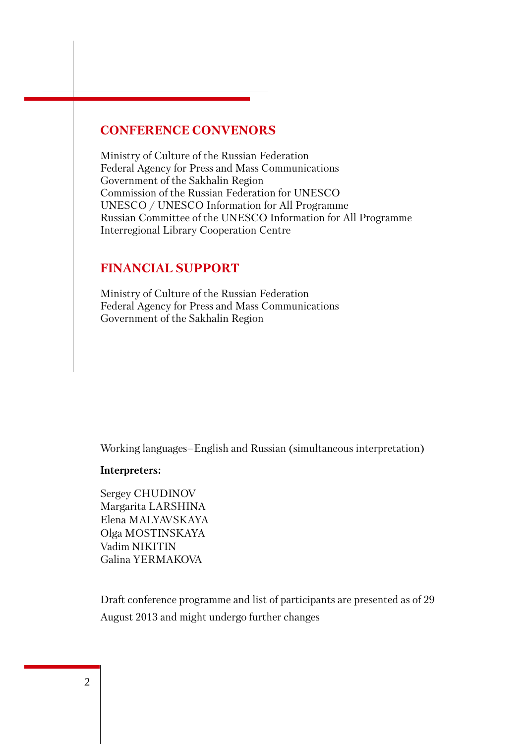## **CONFERENCE CONVENORS**

Ministry of Culture of the Russian Federation Federal Agency for Press and Mass Communications Government of the Sakhalin Region Commission of the Russian Federation for UNESCO UNESCO / UNESCO Information for All Programme Russian Committee of the UNESCO Information for All Programme Interregional Library Cooperation Centre

### **FINANCIAL SUPPORT**

Ministry of Culture of the Russian Federation Federal Agency for Press and Mass Communications Government of the Sakhalin Region

Working languages–English and Russian (simultaneous interpretation)

#### **Interpreters:**

Sergey CHUDINOV Margarita LARSHINA Elena MALYAVSKAYA Olga MOSTINSKAYA Vadim NIKITIN Galina YERMAKOVA

Draft conference programme and list of participants are presented as of 29 August 2013 and might undergo further changes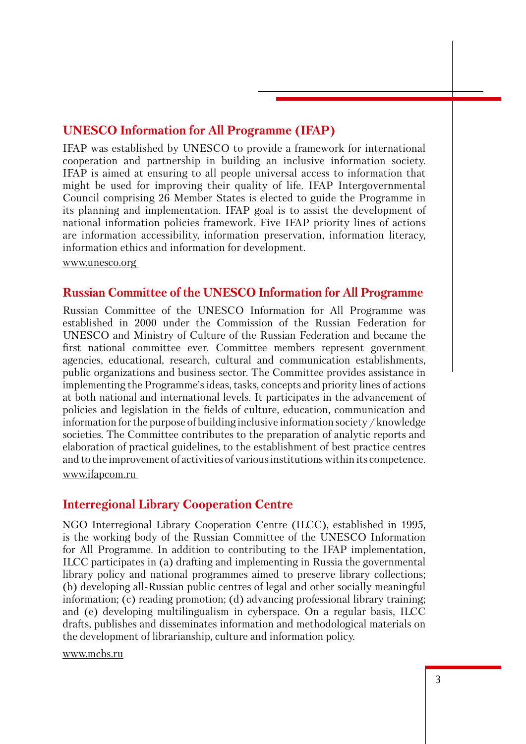# **UNESCO Information for All Programme (IFAP)**

IFAP was established by UNESCO to provide a framework for international cooperation and partnership in building an inclusive information society. IFAP is aimed at ensuring to all people universal access to information that might be used for improving their quality of life. IFAP Intergovernmental Council comprising 26 Member States is elected to guide the Programme in its planning and implementation. IFAP goal is to assist the development of national information policies framework. Five IFAP priority lines of actions are information accessibility, information preservation, information literacy, information ethics and information for development.

www.unesco.org

### **Russian Committee of the UNESCO Information for All Programme**

Russian Committee of the UNESCO Information for All Programme was established in 2000 under the Commission of the Russian Federation for UNESCO and Ministry of Culture of the Russian Federation and became the first national committee ever. Committee members represent government agencies, educational, research, cultural and communication establishments, public organizations and business sector. The Committee provides assistance in implementing the Programme's ideas, tasks, concepts and priority lines of actions at both national and international levels. It participates in the advancement of policies and legislation in the fields of culture, education, communication and information for the purpose of building inclusive information society / knowledge societies. The Committee contributes to the preparation of analytic reports and elaboration of practical guidelines, to the establishment of best practice centres and to the improvement of activities of various institutions within its competence. www.ifapcom.ru

# **Interregional Library Cooperation Centre**

NGO Interregional Library Cooperation Centre (ILCC), established in 1995, is the working body of the Russian Committee of the UNESCO Information for All Programme. In addition to contributing to the IFAP implementation, ILCC participates in (a) drafting and implementing in Russia the governmental library policy and national programmes aimed to preserve library collections; (b) developing all-Russian public centres of legal and other socially meaningful information; (c) reading promotion; (d) advancing professional library training; and (e) developing multilingualism in cyberspace. On a regular basis, ILCC drafts, publishes and disseminates information and methodological materials on the development of librarianship, culture and information policy.

www.mcbs.ru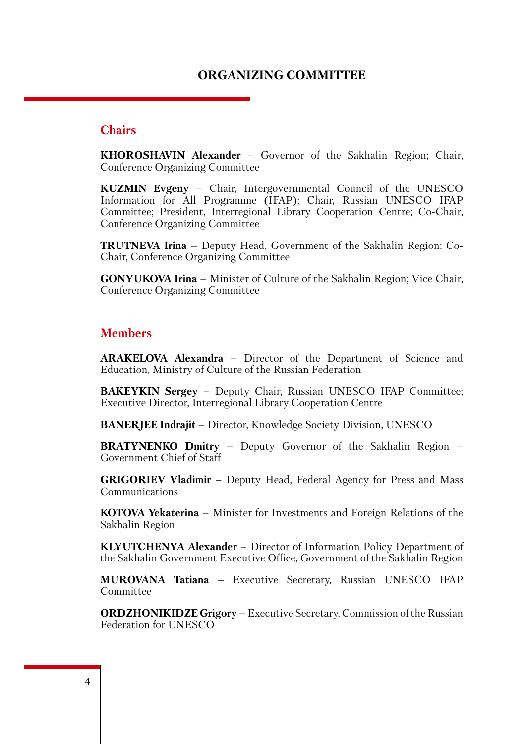# **ORGANIZING COMMITTEE**

### **Chairs**

**KHOROSHAVIN Alexander** – Governor of the Sakhalin Region; Chair, Conference Organizing Committee

**KUZMIN Evgeny** – Chair, Intergovernmental Council of the UNESCO Information for All Programme (IFAP); Chair, Russian UNESCO IFAP Committee; President, Interregional Library Cooperation Centre; Co-Chair, Conference Organizing Committee

**TRUTNEVA Irina** – Deputy Head, Government of the Sakhalin Region; Co-Chair, Conference Organizing Committee

**GONYUKOVA Irina** – Minister of Culture of the Sakhalin Region; Vice Chair, Conference Organizing Committee

#### **Members**

**ARAKELOVA Alexandra –** Director of the Department of Science and Education, Ministry of Culture of the Russian Federation

**BAKEYKIN Sergey –** Deputy Chair, Russian UNESCO IFAP Committee; Executive Director, Interregional Library Cooperation Centre

**BANERJEE Indrajit** – Director, Knowledge Society Division, UNESCO

**BRATYNENKO Dmitry –** Deputy Governor of the Sakhalin Region – Government Chief of Staff

**GRIGORIEV Vladimir –** Deputy Head, Federal Agency for Press and Mass Communications

**KOTOVA Yekaterina** – Minister for Investments and Foreign Relations of the Sakhalin Region

**KLYUTCHENYA Alexander** – Director of Information Policy Department of the Sakhalin Government Executive Office, Government of the Sakhalin Region

**MUROVANA Tatiana –** Executive Secretary, Russian UNESCO IFAP Committee

**ORDZHONIKIDZE Grigory –** Executive Secretary, Commission of the Russian Federation for UNESCO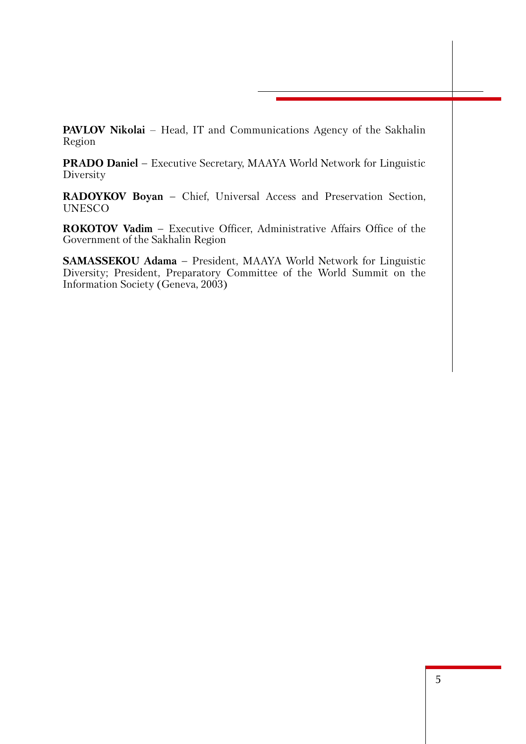**PAVLOV Nikolai** – Head, IT and Communications Agency of the Sakhalin Region

**PRADO Daniel –** Executive Secretary, MAAYA World Network for Linguistic Diversity

**RADOYKOV Boyan –** Chief, Universal Access and Preservation Section, UNESCO

**ROKOTOV Vadim –** Executive Officer, Administrative Affairs Office of the Government of the Sakhalin Region

**SAMASSEKOU Adama –** President, MAAYA World Network for Linguistic Diversity; President, Preparatory Committee of the World Summit on the Information Society (Geneva, 2003)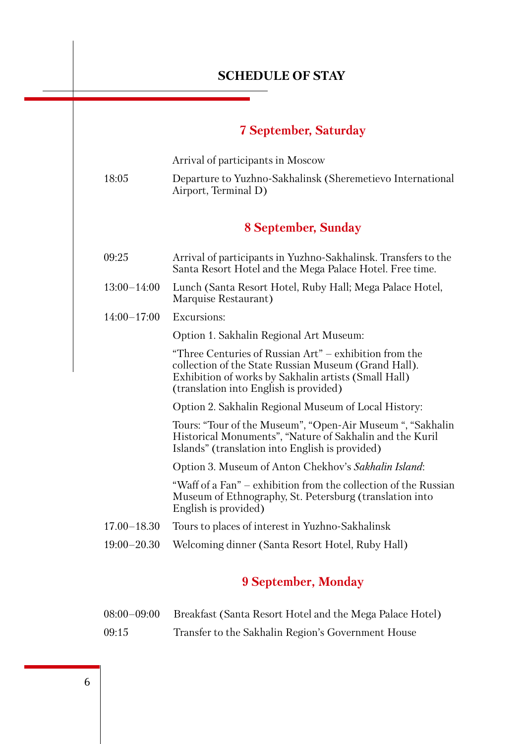# **SCHEDULE OF STAY**

# **7 September, Saturday**

|                 | Arrival of participants in Moscow                                                                                                                                                                                |  |
|-----------------|------------------------------------------------------------------------------------------------------------------------------------------------------------------------------------------------------------------|--|
| 18:05           | Departure to Yuzhno-Sakhalinsk (Sheremetievo International<br>Airport, Terminal D)                                                                                                                               |  |
|                 | 8 September, Sunday                                                                                                                                                                                              |  |
| 09:25           | Arrival of participants in Yuzhno-Sakhalinsk. Transfers to the<br>Santa Resort Hotel and the Mega Palace Hotel. Free time.                                                                                       |  |
| $13:00 - 14:00$ | Lunch (Santa Resort Hotel, Ruby Hall; Mega Palace Hotel,<br>Marquise Restaurant)                                                                                                                                 |  |
| $14:00 - 17:00$ | Excursions:                                                                                                                                                                                                      |  |
|                 | Option 1. Sakhalin Regional Art Museum:                                                                                                                                                                          |  |
|                 | "Three Centuries of Russian Art" – exhibition from the<br>collection of the State Russian Museum (Grand Hall).<br>Exhibition of works by Sakhalin artists (Small Hall)<br>(translation into English is provided) |  |
|                 | Option 2. Sakhalin Regional Museum of Local History:                                                                                                                                                             |  |
|                 | Tours: "Tour of the Museum", "Open-Air Museum", "Sakhalin<br>Historical Monuments", "Nature of Sakhalin and the Kuril<br>Islands" (translation into English is provided)                                         |  |
|                 | Option 3. Museum of Anton Chekhov's Sakhalin Island:                                                                                                                                                             |  |
|                 | "Waff of a Fan" – exhibition from the collection of the Russian<br>Museum of Ethnography, St. Petersburg (translation into<br>English is provided)                                                               |  |
| $17.00 - 18.30$ | Tours to places of interest in Yuzhno-Sakhalinsk                                                                                                                                                                 |  |
| $19:00 - 20.30$ | Welcoming dinner (Santa Resort Hotel, Ruby Hall)                                                                                                                                                                 |  |

# **9 September, Monday**

| $08:00 - 09:00$ | Breakfast (Santa Resort Hotel and the Mega Palace Hotel) |
|-----------------|----------------------------------------------------------|
| 09:15           | Transfer to the Sakhalin Region's Government House       |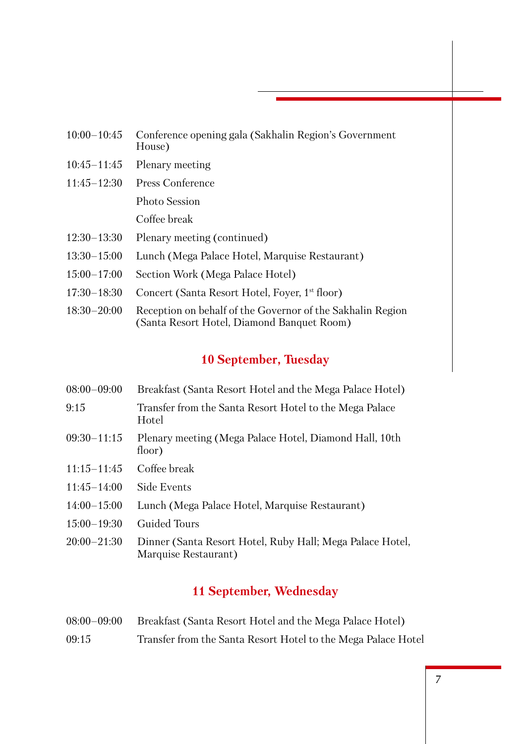| $10:00 - 10:45$ | Conference opening gala (Sakhalin Region's Government<br>House)                                          |
|-----------------|----------------------------------------------------------------------------------------------------------|
| $10:45 - 11:45$ | Plenary meeting                                                                                          |
| $11:45 - 12:30$ | <b>Press Conference</b>                                                                                  |
|                 | <b>Photo Session</b>                                                                                     |
|                 | Coffee break                                                                                             |
| $12:30-13:30$   | Plenary meeting (continued)                                                                              |
| $13:30 - 15:00$ | Lunch (Mega Palace Hotel, Marquise Restaurant)                                                           |
| $15:00 - 17:00$ | Section Work (Mega Palace Hotel)                                                                         |
| $17:30 - 18:30$ | Concert (Santa Resort Hotel, Foyer, 1 <sup>st</sup> floor)                                               |
| $18:30 - 20:00$ | Reception on behalf of the Governor of the Sakhalin Region<br>(Santa Resort Hotel, Diamond Banquet Room) |

# **10 September, Tuesday**

- 08:00–09:00 Breakfast (Santa Resort Hotel and the Mega Palace Hotel)
- 9:15 Transfer from the Santa Resort Hotel to the Mega Palace **Hotel**
- 09:30–11:15 Plenary meeting (Mega Palace Hotel, Diamond Hall, 10th floor)
- 11:15–11:45 Coffee break
- 11:45–14:00 Side Events
- 14:00–15:00 Lunch (Mega Palace Hotel, Marquise Restaurant)
- 15:00–19:30 Guided Tours
- 20:00–21:30 Dinner (Santa Resort Hotel, Ruby Hall; Mega Palace Hotel, Marquise Restaurant)

# **11 September, Wednesday**

08:00–09:00 Breakfast (Santa Resort Hotel and the Mega Palace Hotel) 09:15 Transfer from the Santa Resort Hotel to the Mega Palace Hotel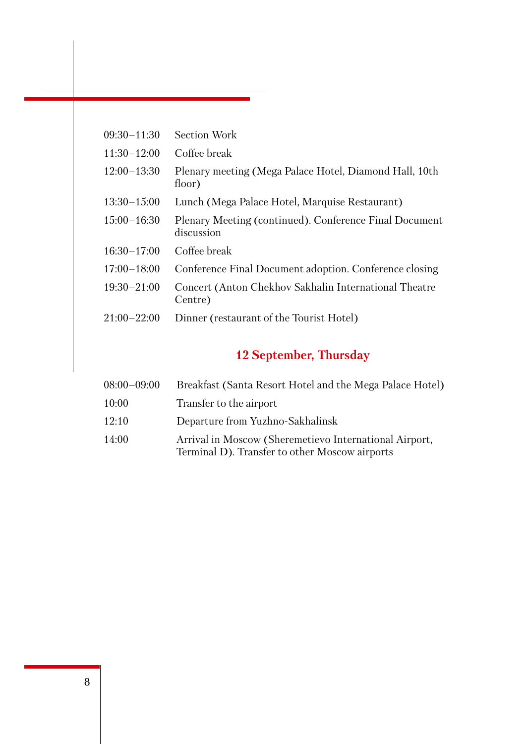| $09:30 - 11:30$ | <b>Section Work</b>                                                  |
|-----------------|----------------------------------------------------------------------|
| $11:30-12:00$   | Coffee break                                                         |
| $12:00-13:30$   | Plenary meeting (Mega Palace Hotel, Diamond Hall, 10th<br>floor)     |
| $13:30 - 15:00$ | Lunch (Mega Palace Hotel, Marquise Restaurant)                       |
| $15:00 - 16:30$ | Plenary Meeting (continued). Conference Final Document<br>discussion |
| $16:30 - 17:00$ | Coffee break                                                         |
| $17:00 - 18:00$ | Conference Final Document adoption. Conference closing               |
| $19:30 - 21:00$ | Concert (Anton Chekhov Sakhalin International Theatre<br>Centre)     |
| $21:00 - 22:00$ | Dinner (restaurant of the Tourist Hotel)                             |

# **12 September, Thursday**

| $08:00 - 09:00$ | Breakfast (Santa Resort Hotel and the Mega Palace Hotel)                                                 |
|-----------------|----------------------------------------------------------------------------------------------------------|
| 10:00           | Transfer to the airport                                                                                  |
| 12:10           | Departure from Yuzhno-Sakhalinsk                                                                         |
| 14:00           | Arrival in Moscow (Sheremetievo International Airport,<br>Terminal D). Transfer to other Moscow airports |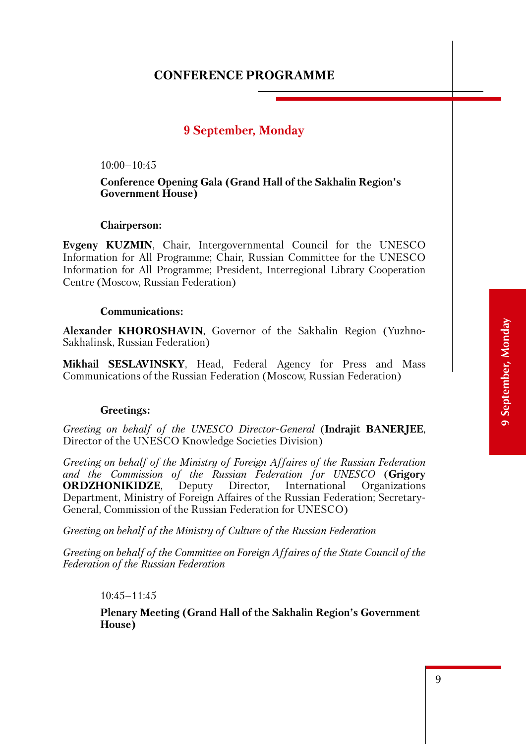# **CONFERENCE PROGRAMME**

# **9 September, Monday**

 $10:00-10:45$ 

#### **Conference Opening Gala (Grand Hall of the Sakhalin Region's Government House)**

#### **Chairperson:**

**Evgeny KUZMIN**, Chair, Intergovernmental Council for the UNESCO Information for All Programme; Chair, Russian Committee for the UNESCO Information for All Programme; President, Interregional Library Cooperation Centre (Moscow, Russian Federation)

#### **Communications:**

**Alexander KHOROSHAVIN**, Governor of the Sakhalin Region (Yuzhno-Sakhalinsk, Russian Federation)

**Mikhail SESLAVINSKY**, Head, Federal Agency for Press and Mass Communications of the Russian Federation (Moscow, Russian Federation)

#### **Greetings:**

*Greeting on behalf of the UNESCO Director-General* (**Indrajit BANERJEE**, Director of the UNESCO Knowledge Societies Division)

*Greeting on behalf of the Ministry of Foreign Affaires of the Russian Federation and the Commission of the Russian Federation for UNESCO* (**Grigory ORDZHONIKIDZE**, Deputy Director, International Organizations Department, Ministry of Foreign Affaires of the Russian Federation; Secretary-General, Commission of the Russian Federation for UNESCO)

*Greeting on behalf of the Ministry of Culture of the Russian Federation*

*Greeting on behalf of the Committee on Foreign Affaires of the State Council of the Federation of the Russian Federation*

#### $10.45 - 11.45$

**Plenary Meeting (Grand Hall of the Sakhalin Region's Government House)**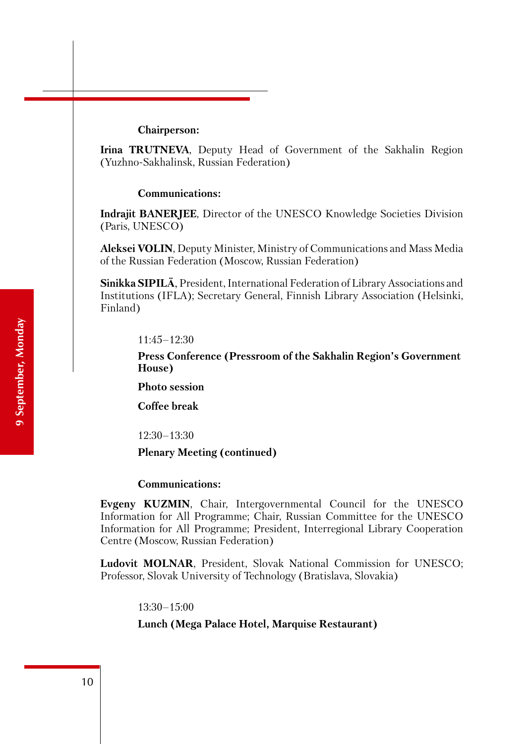#### **Chairperson:**

**Irina TRUTNEVA**, Deputy Head of Government of the Sakhalin Region (Yuzhno-Sakhalinsk, Russian Federation)

#### **Communications:**

**Indrajit BANERJEE**, Director of the UNESCO Knowledge Societies Division (Paris, UNESCO)

**Aleksei VOLIN**, Deputy Minister, Ministry of Communications and Mass Media of the Russian Federation (Moscow, Russian Federation)

**Sinikka SIPILÄ**, President, International Federation of Library Associations and Institutions (IFLA); Secretary General, Finnish Library Association (Helsinki, Finland)

11:45–12:30

**Press Conference (Pressroom of the Sakhalin Region's Government House)**

**Photo session**

**Coffee break**

12:30–13:30

#### **Plenary Meeting (continued)**

#### **Communications:**

**Evgeny KUZMIN**, Chair, Intergovernmental Council for the UNESCO Information for All Programme; Chair, Russian Committee for the UNESCO Information for All Programme; President, Interregional Library Cooperation Centre (Moscow, Russian Federation)

**Ludovit MOLNAR**, President, Slovak National Commission for UNESCO; Professor, Slovak University of Technology (Bratislava, Slovakia)

13:30–15:00

#### **Lunch (Mega Palace Hotel, Marquise Restaurant)**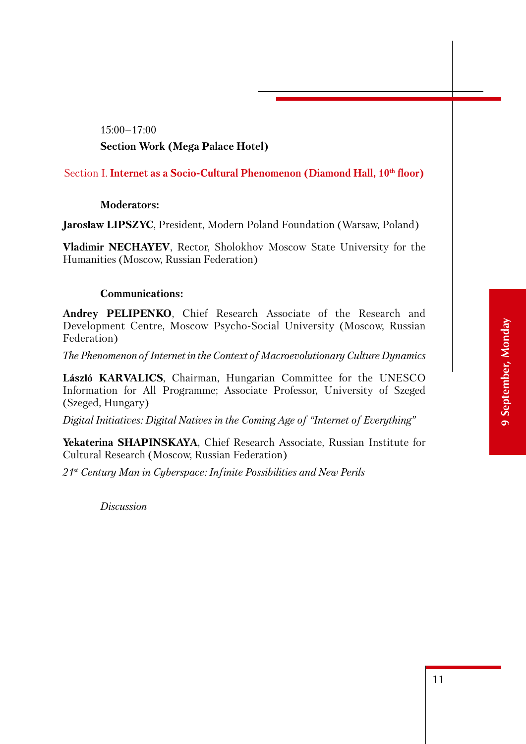# 15:00–17:00 **Section Work (Mega Palace Hotel)**

#### Section I. Internet as a Socio-Cultural Phenomenon (Diamond Hall, 10<sup>th</sup> floor)

#### **Moderators:**

**Jarosław LIPSZYC**, President, Modern Poland Foundation (Warsaw, Poland)

**Vladimir NECHAYEV**, Rector, Sholokhov Moscow State University for the Humanities (Moscow, Russian Federation)

#### **Communications:**

**Andrey PELIPENKO**, Chief Research Associate of the Research and Development Centre, Moscow Psycho-Social University (Moscow, Russian Federation)

*The Phenomenon of Internet in the Context of Macroevolutionary Culture Dynamics* 

**László KARVALICS**, Chairman, Hungarian Committee for the UNESCO Information for All Programme; Associate Professor, University of Szeged (Szeged, Hungary)

*Digital Initiatives: Digital Natives in the Coming Age of "Internet of Everything"*

**Yekaterina SHAPINSKAYA**, Chief Research Associate, Russian Institute for Cultural Research (Moscow, Russian Federation)

*21st Century Man in Cyberspace: Infinite Possibilities and New Perils*

*Discussion*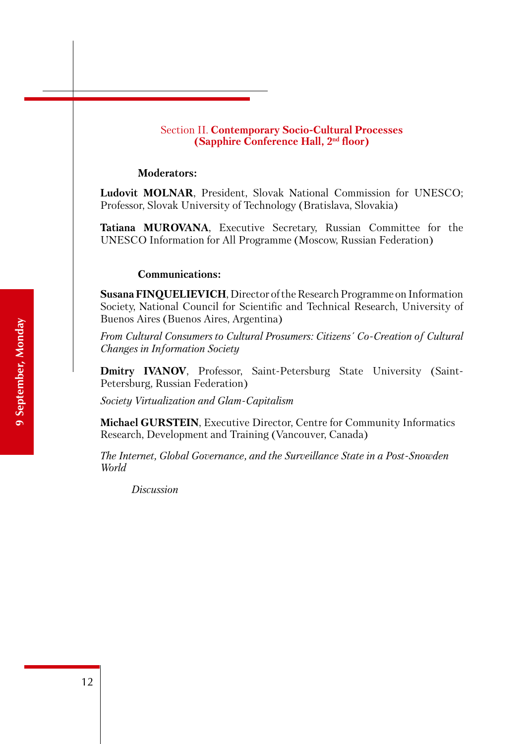#### Section II. **Contemporary Socio-Cultural Processes (Sapphire Conference Hall, 2nd floor)**

#### **Moderators:**

**Ludovit MOLNAR**, President, Slovak National Commission for UNESCO; Professor, Slovak University of Technology (Bratislava, Slovakia)

**Tatiana MUROVANA**, Executive Secretary, Russian Committee for the UNESCO Information for All Programme (Moscow, Russian Federation)

#### **Communications:**

**Susana FINQUELIEVICH**, Director of the Research Programme on Information Society, National Council for Scientific and Technical Research, University of Buenos Aires (Buenos Aires, Argentina)

*From Cultural Consumers to Cultural Prosumers: Citizens´ Co-Creation of Cultural Changes in Information Society*

**Dmitry IVANOV**, Professor, Saint-Petersburg State University (Saint-Petersburg, Russian Federation)

*Society Virtualization and Glam-Capitalism*

**Michael GURSTEIN**, Executive Director, Centre for Community Informatics Research, Development and Training (Vancouver, Canada)

*The Internet, Global Governance, and the Surveillance State in a Post-Snowden World*

*Discussion*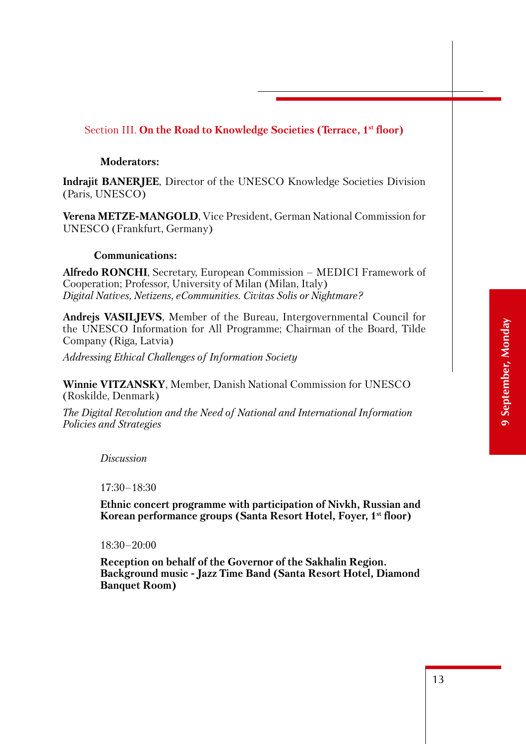#### Section III. **On the Road to Knowledge Societies (Terrace, 1st floor)**

#### **Moderators:**

**Indrajit BANERJEE**, Director of the UNESCO Knowledge Societies Division (Paris, UNESCO)

**Verena METZE-MANGOLD**, Vice President, German National Commission for UNESCO (Frankfurt, Germany)

#### **Communications:**

**Alfredo RONCHI**, Secretary, European Commission – MEDICI Framework of Cooperation; Professor, University of Milan (Milan, Italy) *Digital Natives, Netizens, eCommunities. Civitas Solis or Nightmare?*

**Andrejs VASILJEVS**, Member of the Bureau, Intergovernmental Council for the UNESCO Information for All Programme; Chairman of the Board, Tilde Company (Riga, Latvia)

*Addressing Ethical Challenges of Information Society*

**Winnie VITZANSKY**, Member, Danish National Commission for UNESCO (Roskilde, Denmark)

*The Digital Revolution and the Need of National and International Information Policies and Strategies*

*Discussion*

17:30–18:30

**Ethnic concert programme with participation of Nivkh, Russian and Korean performance groups (Santa Resort Hotel, Foyer, 1st floor)**

18:30–20:00

**Reception on behalf of the Governor of the Sakhalin Region. Background music - Jazz Time Band (Santa Resort Hotel, Diamond Banquet Room)**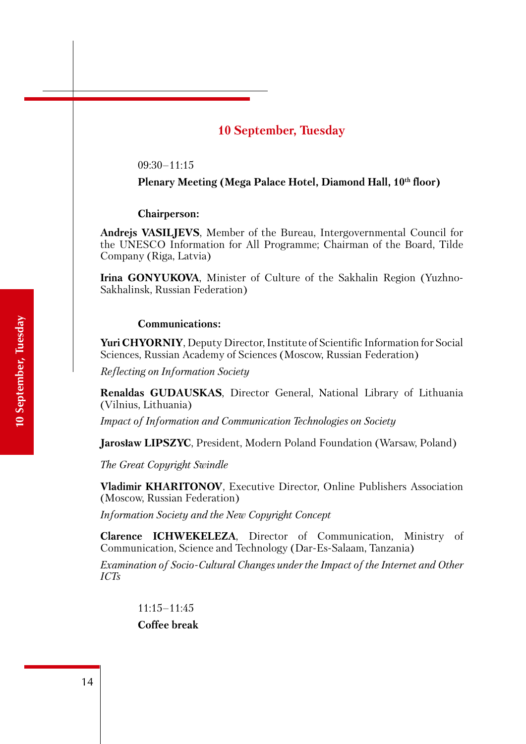# **10 September, Tuesday**

09:30–11:15

Plenary Meeting (Mega Palace Hotel, Diamond Hall, 10<sup>th</sup> floor)

**Chairperson:** 

**Andrejs VASILJEVS**, Member of the Bureau, Intergovernmental Council for the UNESCO Information for All Programme; Chairman of the Board, Tilde Company (Riga, Latvia)

**Irina GONYUKOVA**, Minister of Culture of the Sakhalin Region (Yuzhno-Sakhalinsk, Russian Federation)

#### **Communications:**

**Yuri CHYORNIY**, Deputy Director, Institute of Scientific Information for Social Sciences, Russian Academy of Sciences (Moscow, Russian Federation)

*Reflecting on Information Society*

**Renaldas GUDAUSKAS**, Director General, National Library of Lithuania (Vilnius, Lithuania)

*Impact of Information and Communication Technologies on Society*

**Jarosław LIPSZYC**, President, Modern Poland Foundation (Warsaw, Poland)

*The Great Copyright Swindle* 

**Vladimir KHARITONOV**, Executive Director, Online Publishers Association (Moscow, Russian Federation)

*Information Society and the New Copyright Concept* 

**Clarence ICHWEKELEZA**, Director of Communication, Ministry of Communication, Science and Technology (Dar-Es-Salaam, Tanzania)

*Examination of Socio-Cultural Changes under the Impact of the Internet and Other ICTs*

 $11:15-11:45$ 

**Coffee break**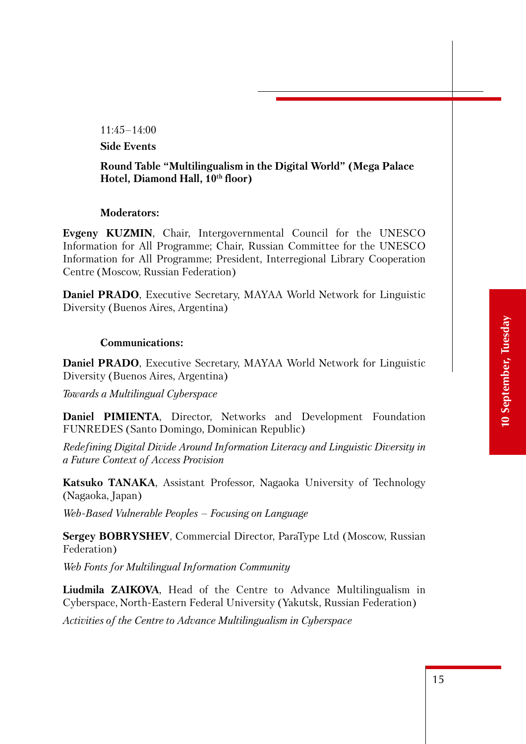11:45–14:00

**Side Events**

#### **Round Table "Multilingualism in the Digital World" (Mega Palace**  Hotel, Diamond Hall,  $10<sup>th</sup>$  floor)

#### **Moderators:**

**Evgeny KUZMIN**, Chair, Intergovernmental Council for the UNESCO Information for All Programme; Chair, Russian Committee for the UNESCO Information for All Programme; President, Interregional Library Cooperation Centre (Moscow, Russian Federation)

**Daniel PRADO**, Executive Secretary, MAYAA World Network for Linguistic Diversity (Buenos Aires, Argentina)

#### **Communications:**

**Daniel PRADO**, Executive Secretary, MAYAA World Network for Linguistic Diversity (Buenos Aires, Argentina)

*Towards a Multilingual Cyberspace*

**Daniel PIMIENTA**, Director, Networks and Development Foundation FUNREDES (Santo Domingo, Dominican Republic)

*Redefining Digital Divide Around Information Literacy and Linguistic Diversity in a Future Context of Access Provision*

**Katsuko TANAKA**, Assistant Professor, Nagaoka University of Technology (Nagaoka, Japan)

*Web-Based Vulnerable Peoples – Focusing on Language*

**Sergey BOBRYSHEV**, Commercial Director, ParaType Ltd (Moscow, Russian Federation)

*Web Fonts for Multilingual Information Community*

**Liudmila ZAIKOVA**, Head of the Centre to Advance Multilingualism in Cyberspace, North-Eastern Federal University (Yakutsk, Russian Federation)

*Activities of the Centre to Advance Multilingualism in Cyberspace*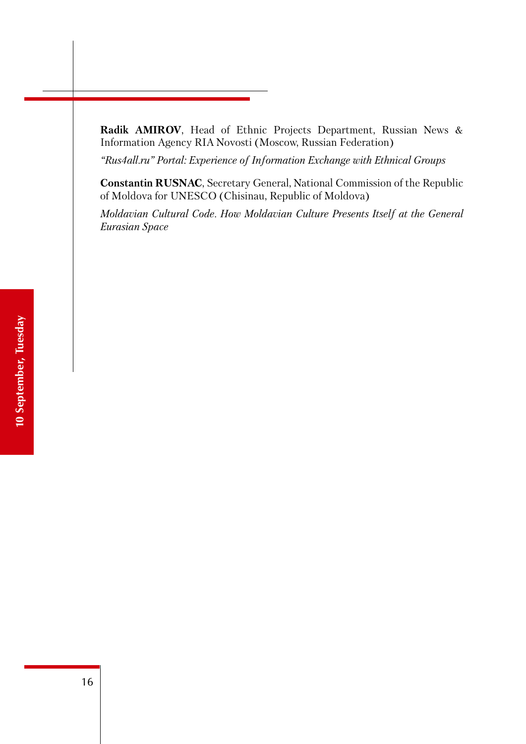**Radik AMIROV**, Head of Ethnic Projects Department, Russian News & Information Agency RIA Novosti (Moscow, Russian Federation)

*"Rus4all.ru" Portal: Experience of Information Exchange with Ethnical Groups*

**Constantin RUSNAC**, Secretary General, National Commission of the Republic of Moldova for UNESCO (Chisinau, Republic of Moldova)

*Moldavian Cultural Code. How Moldavian Culture Presents Itself at the General Eurasian Space*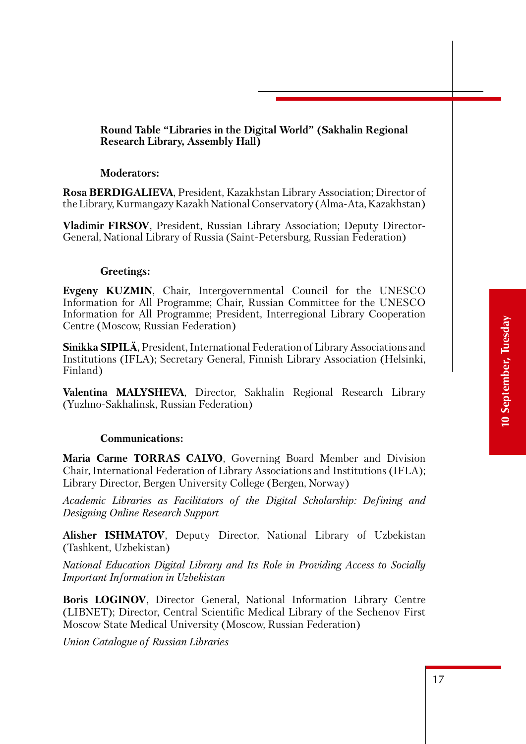#### **Round Table "Libraries in the Digital World" (Sakhalin Regional Research Library, Assembly Hall)**

#### **Moderators:**

**Rosa BERDIGALIEVA**, President, Kazakhstan Library Association; Director of the Library, Kurmangazy Kazakh National Conservatory (Alma-Ata, Kazakhstan)

**Vladimir FIRSOV**, President, Russian Library Association; Deputy Director-General, National Library of Russia (Saint-Petersburg, Russian Federation)

#### **Greetings:**

**Evgeny KUZMIN**, Chair, Intergovernmental Council for the UNESCO Information for All Programme; Chair, Russian Committee for the UNESCO Information for All Programme; President, Interregional Library Cooperation Centre (Moscow, Russian Federation)

**Sinikka SIPILÄ**, President, International Federation of Library Associations and Institutions (IFLA); Secretary General, Finnish Library Association (Helsinki, Finland)

**Valentina MALYSHEVA**, Director, Sakhalin Regional Research Library (Yuzhno-Sakhalinsk, Russian Federation)

#### **Communications:**

**Maria Carme TORRAS CALVO**, Governing Board Member and Division Chair, International Federation of Library Associations and Institutions (IFLA); Library Director, Bergen University College (Bergen, Norway)

*Academic Libraries as Facilitators of the Digital Scholarship: Defining and Designing Online Research Support*

**Alisher ISHMATOV**, Deputy Director, National Library of Uzbekistan (Tashkent, Uzbekistan)

*National Education Digital Library and Its Role in Providing Access to Socially Important Information in Uzbekistan* 

**Boris LOGINOV**, Director General, National Information Library Centre (LIBNET); Director, Central Scientific Medical Library of the Sechenov First Moscow State Medical University (Moscow, Russian Federation)

*Union Catalogue of Russian Libraries*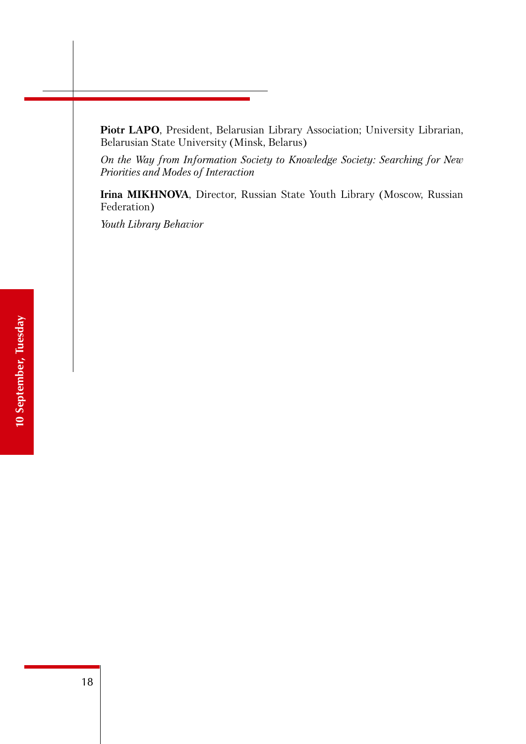Piotr LAPO, President, Belarusian Library Association; University Librarian, Belarusian State University (Minsk, Belarus)

*On the Way from Information Society to Knowledge Society: Searching for New Priorities and Modes of Interaction* 

**Irina MIKHNOVA**, Director, Russian State Youth Library (Moscow, Russian Federation)

*Youth Library Behavior*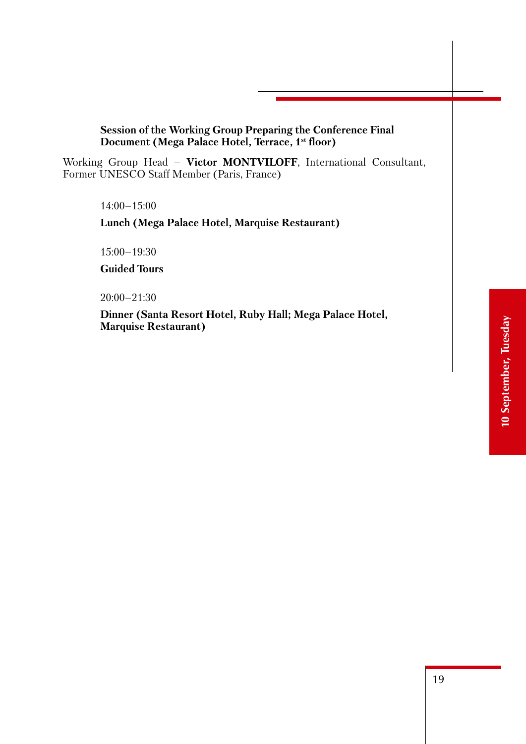#### **Session of the Working Group Preparing the Conference Final Document (Mega Palace Hotel, Terrace, 1st floor)**

Working Group Head – **Victor MONTVILOFF**, International Consultant, Former UNESCO Staff Member (Paris, France)

14:00–15:00

**Lunch (Mega Palace Hotel, Marquise Restaurant)**

15:00–19:30

**Guided Tours**

20:00–21:30

**Dinner (Santa Resort Hotel, Ruby Hall; Mega Palace Hotel, Marquise Restaurant)**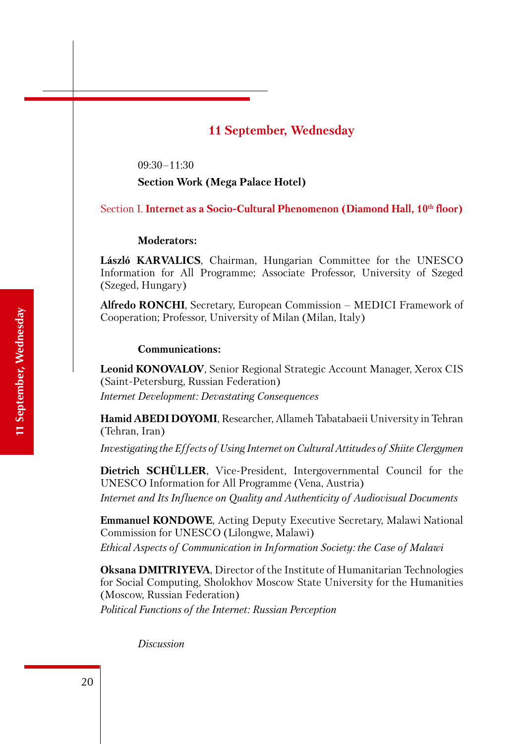## **11 September, Wednesday**

09:30–11:30

**Section Work (Mega Palace Hotel)**

Section I. **Internet as a Socio-Cultural Phenomenon (Diamond Hall, 10<sup>th</sup> floor)** 

#### **Moderators:**

**László KARVALICS**, Chairman, Hungarian Committee for the UNESCO Information for All Programme; Associate Professor, University of Szeged (Szeged, Hungary)

**Alfredo RONCHI**, Secretary, European Commission – MEDICI Framework of Cooperation; Professor, University of Milan (Milan, Italy)

#### **Communications:**

**Leonid KONOVALOV**, Senior Regional Strategic Account Manager, Xerox CIS (Saint-Petersburg, Russian Federation) *Internet Development: Devastating Consequences*

**Hamid ABEDI DOYOMI**, Researcher, Allameh Tabatabaeii University in Tehran (Tehran, Iran)

*Investigating the Effects of Using Internet on Cultural Attitudes of Shiite Clergymen*

**Dietrich SCHÜLLER**, Vice-President, Intergovernmental Council for the UNESCO Information for All Programme (Vena, Austria) *Internet and Its Influence on Quality and Authenticity of Audiovisual Documents*

**Emmanuel KONDOWE**, Acting Deputy Executive Secretary, Malawi National Commission for UNESCO (Lilongwe, Malawi) *Ethical Aspects of Communication in Information Society: the Case of Malawi*

**Oksana DMITRIYEVA**, Director of the Institute of Humanitarian Technologies for Social Computing, Sholokhov Moscow State University for the Humanities (Moscow, Russian Federation)

*Political Functions of the Internet: Russian Perception* 

*Discussion*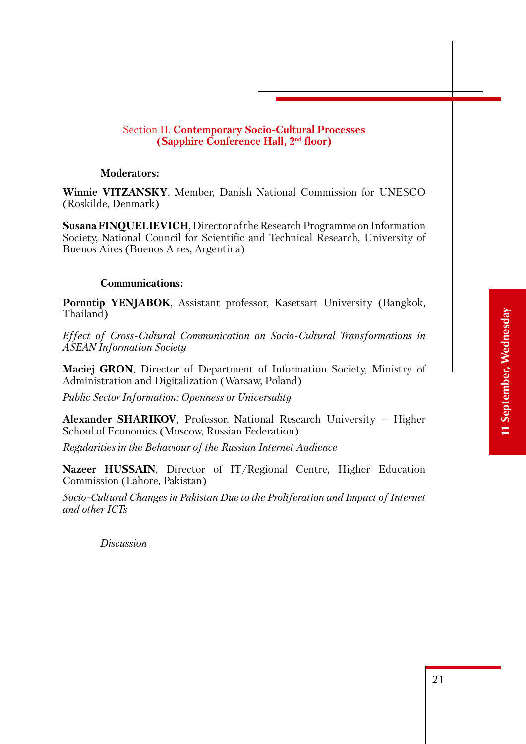#### Section II. **Contemporary Socio-Cultural Processes (Sapphire Conference Hall, 2nd floor)**

#### **Moderators:**

**Winnie VITZANSKY**, Member, Danish National Commission for UNESCO (Roskilde, Denmark)

**Susana FINQUELIEVICH**, Director of the Research Programme on Information Society, National Council for Scientific and Technical Research, University of Buenos Aires (Buenos Aires, Argentina)

#### **Communications:**

**Pornntip YENJABOK**, Assistant professor, Kasetsart University (Bangkok, Thailand)

*Effect of Cross-Cultural Communication on Socio-Cultural Transformations in ASEAN Information Society*

**Maciej GRON**, Director of Department of Information Society, Ministry of Administration and Digitalization (Warsaw, Poland)

*Public Sector Information: Openness or Universality*

**Alexander SHARIKOV**, Professor, National Research University – Higher School of Economics (Moscow, Russian Federation)

*Regularities in the Behaviour of the Russian Internet Audience*

**Nazeer HUSSAIN**, Director of IT/Regional Centre, Higher Education Commission (Lahore, Pakistan)

*Socio-Cultural Changes in Pakistan Due to the Proliferation and Impact of Internet and other ICTs*

*Discussion*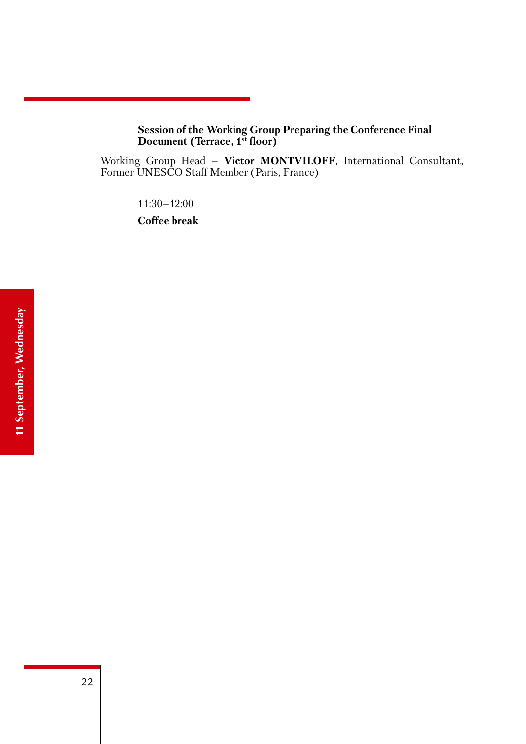**Session of the Working Group Preparing the Conference Final Document (Terrace, 1st floor)**

Working Group Head – **Victor MONTVILOFF**, International Consultant, Former UNESCO Staff Member (Paris, France)

11:30–12:00

**Coffee break**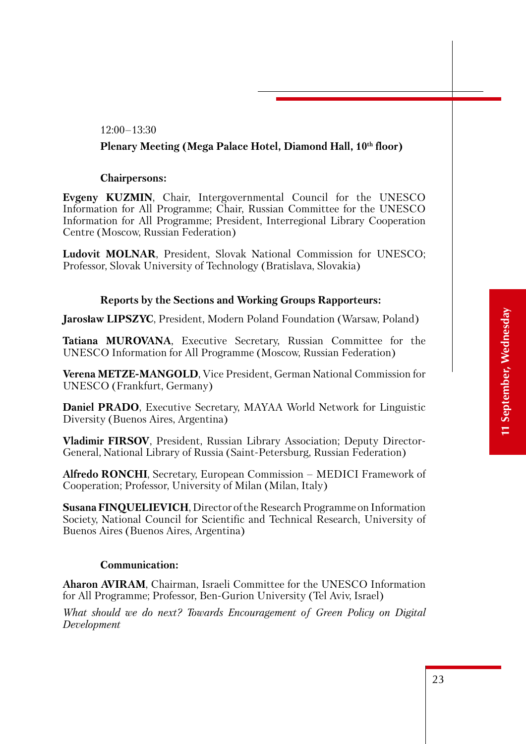#### 12:00–13:30

#### **Plenary Meeting (Mega Palace Hotel, Diamond Hall, 10th floor)**

#### **Chairpersons:**

**Evgeny KUZMIN**, Chair, Intergovernmental Council for the UNESCO Information for All Programme; Chair, Russian Committee for the UNESCO Information for All Programme; President, Interregional Library Cooperation Centre (Moscow, Russian Federation)

**Ludovit MOLNAR**, President, Slovak National Commission for UNESCO; Professor, Slovak University of Technology (Bratislava, Slovakia)

#### **Reports by the Sections and Working Groups Rapporteurs:**

**Jarosław LIPSZYC**, President, Modern Poland Foundation (Warsaw, Poland)

**Tatiana MUROVANA**, Executive Secretary, Russian Committee for the UNESCO Information for All Programme (Moscow, Russian Federation)

**Verena METZE-MANGOLD**, Vice President, German National Commission for UNESCO (Frankfurt, Germany)

**Daniel PRADO**, Executive Secretary, MAYAA World Network for Linguistic Diversity (Buenos Aires, Argentina)

**Vladimir FIRSOV**, President, Russian Library Association; Deputy Director-General, National Library of Russia (Saint-Petersburg, Russian Federation)

**Alfredo RONCHI**, Secretary, European Commission – MEDICI Framework of Cooperation; Professor, University of Milan (Milan, Italy)

**Susana FINQUELIEVICH**, Director of the Research Programme on Information Society, National Council for Scientific and Technical Research, University of Buenos Aires (Buenos Aires, Argentina)

#### **Communication:**

**Aharon AVIRAM**, Chairman, Israeli Committee for the UNESCO Information for All Programme; Professor, Ben-Gurion University (Tel Aviv, Israel)

*What should we do next? Towards Encouragement of Green Policy on Digital Development*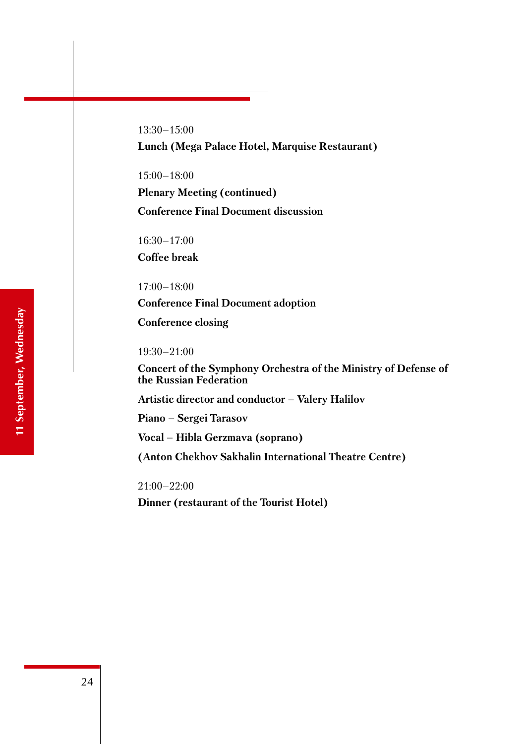13:30–15:00 **Lunch (Mega Palace Hotel, Marquise Restaurant)**

15:00–18:00 **Plenary Meeting (continued) Conference Final Document discussion**

16:30–17:00 **Coffee break**

17:00–18:00 **Conference Final Document adoption Conference closing**

19:30–21:00

**Concert of the Symphony Orchestra of the Ministry of Defense of the Russian Federation** 

**Artistic director and conductor – Valery Halilov**

**Piano – Sergei Tarasov**

**Vocal – Hibla Gerzmava (soprano)**

**(Anton Chekhov Sakhalin International Theatre Centre)**

21:00–22:00

**Dinner (restaurant of the Tourist Hotel)**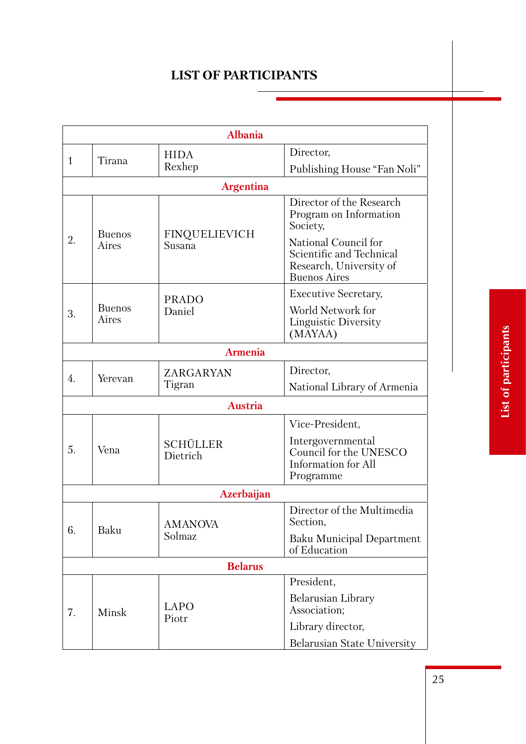# **List of participants**

|                              | <b>Albania</b>         |                                |                                                                                                    |  |
|------------------------------|------------------------|--------------------------------|----------------------------------------------------------------------------------------------------|--|
|                              |                        | <b>HIDA</b>                    | Director,                                                                                          |  |
| $\mathbf{1}$                 | Tirana                 | Rexhep                         | Publishing House "Fan Noli"                                                                        |  |
|                              |                        | <b>Argentina</b>               |                                                                                                    |  |
|                              |                        |                                | Director of the Research<br>Program on Information<br>Society,                                     |  |
| <b>Buenos</b><br>2.<br>Aires |                        | <b>FINQUELIEVICH</b><br>Susana | National Council for<br>Scientific and Technical<br>Research, University of<br><b>Buenos Aires</b> |  |
|                              |                        | <b>PRADO</b>                   | <b>Executive Secretary,</b>                                                                        |  |
| 3.                           | <b>Buenos</b><br>Aires | Daniel                         | World Network for<br>Linguistic Diversity<br>(MAYAA)                                               |  |
|                              |                        | <b>Armenia</b>                 |                                                                                                    |  |
|                              |                        | ZARGARYAN                      | Director,                                                                                          |  |
| 4.                           | Yerevan                | Tigran                         | National Library of Armenia                                                                        |  |
|                              |                        | <b>Austria</b>                 |                                                                                                    |  |
|                              |                        |                                | Vice-President,                                                                                    |  |
| 5.                           | Vena                   | <b>SCHÜLLER</b><br>Dietrich    | Intergovernmental<br>Council for the UNESCO<br>Information for All<br>Programme                    |  |
|                              |                        | <b>Azerbaijan</b>              |                                                                                                    |  |
| 6.                           | Baku                   | AMANOVA<br>Solmaz              | Director of the Multimedia<br>Section,                                                             |  |
|                              |                        |                                | <b>Baku Municipal Department</b><br>of Education                                                   |  |
| <b>Belarus</b>               |                        |                                |                                                                                                    |  |
|                              |                        |                                | President,                                                                                         |  |
| 7.                           | Minsk                  | <b>LAPO</b><br>Piotr           | <b>Belarusian Library</b><br>Association;                                                          |  |
|                              |                        |                                | Library director,                                                                                  |  |
|                              |                        |                                | <b>Belarusian State University</b>                                                                 |  |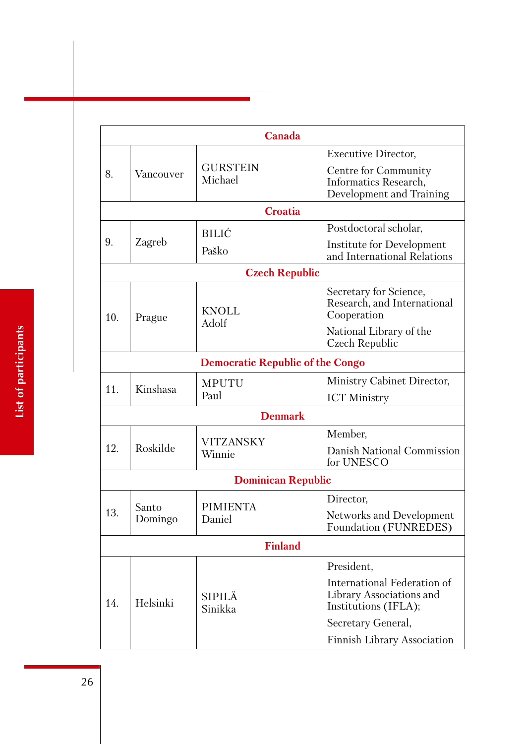|     |                  | Canada                                  |                                                                                 |  |
|-----|------------------|-----------------------------------------|---------------------------------------------------------------------------------|--|
|     |                  |                                         | <b>Executive Director,</b>                                                      |  |
| 8.  | Vancouver        | <b>GURSTEIN</b><br>Michael              | Centre for Community<br>Informatics Research,<br>Development and Training       |  |
|     |                  | Croatia                                 |                                                                                 |  |
|     |                  | <b>BILIĆ</b>                            | Postdoctoral scholar,                                                           |  |
| 9.  | Zagreb           | Paško                                   | Institute for Development<br>and International Relations                        |  |
|     |                  | <b>Czech Republic</b>                   |                                                                                 |  |
| 10. | Prague           | <b>KNOLL</b><br>Adolf                   | Secretary for Science,<br>Research, and International<br>Cooperation            |  |
|     |                  |                                         | National Library of the<br>Czech Republic                                       |  |
|     |                  | <b>Democratic Republic of the Congo</b> |                                                                                 |  |
| 11. | Kinshasa         | <b>MPUTU</b><br>Paul                    | Ministry Cabinet Director,                                                      |  |
|     |                  |                                         | <b>ICT Ministry</b>                                                             |  |
|     |                  | <b>Denmark</b>                          |                                                                                 |  |
|     |                  | <b>VITZANSKY</b>                        | Member,                                                                         |  |
| 12. | Roskilde         | Winnie                                  | Danish National Commission<br>for UNESCO                                        |  |
|     |                  | <b>Dominican Republic</b>               |                                                                                 |  |
|     |                  | <b>PIMIENTA</b><br>Daniel               | Director,                                                                       |  |
| 13. | Santo<br>Domingo |                                         | Networks and Development<br>Foundation (FUNREDES)                               |  |
|     | <b>Finland</b>   |                                         |                                                                                 |  |
|     |                  |                                         | President,                                                                      |  |
| 14. | Helsinki         | <b>SIPILÄ</b><br>Sinikka                | International Federation of<br>Library Associations and<br>Institutions (IFLA); |  |
|     |                  |                                         | Secretary General,                                                              |  |
|     |                  |                                         | <b>Finnish Library Association</b>                                              |  |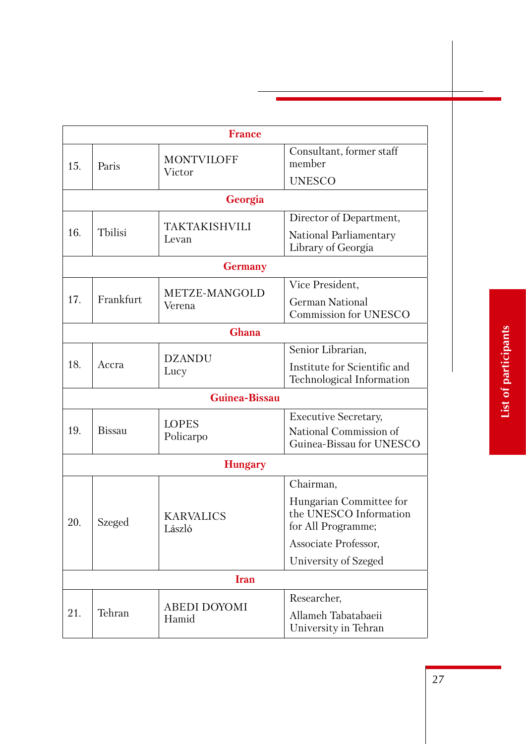|             |               | <b>France</b>                |                                                                         |
|-------------|---------------|------------------------------|-------------------------------------------------------------------------|
| 15.         | Paris         | <b>MONTVILOFF</b><br>Victor  | Consultant, former staff<br>member                                      |
|             |               |                              | <b>UNESCO</b>                                                           |
|             |               | Georgia                      |                                                                         |
|             |               |                              | Director of Department,                                                 |
| 16.         | Tbilisi       | TAKTAKISHVILI<br>Levan       | National Parliamentary<br>Library of Georgia                            |
|             |               | <b>Germany</b>               |                                                                         |
|             |               |                              | Vice President,                                                         |
| 17.         | Frankfurt     | METZE-MANGOLD<br>Verena      | <b>German National</b>                                                  |
|             |               |                              | <b>Commission for UNESCO</b>                                            |
|             |               | Ghana                        |                                                                         |
|             |               | <b>DZANDU</b>                | Senior Librarian,                                                       |
| 18.         | Accra         | Lucy                         | Institute for Scientific and                                            |
|             |               |                              | Technological Information                                               |
|             |               | Guinea-Bissau                |                                                                         |
|             |               | <b>LOPES</b>                 | <b>Executive Secretary,</b>                                             |
| 19.         | <b>Bissau</b> | Policarpo                    | National Commission of                                                  |
|             |               |                              | Guinea-Bissau for UNESCO                                                |
|             |               | <b>Hungary</b>               |                                                                         |
|             |               |                              | Chairman,                                                               |
| 20.         | Szeged        | <b>KARVALICS</b><br>László   | Hungarian Committee for<br>the UNESCO Information<br>for All Programme; |
|             |               |                              | Associate Professor,                                                    |
|             |               |                              | University of Szeged                                                    |
| <b>Iran</b> |               |                              |                                                                         |
|             |               |                              | Researcher,                                                             |
| 21.         | Tehran        | <b>ABEDI DOYOMI</b><br>Hamid | Allameh Tabatabaeii<br>University in Tehran                             |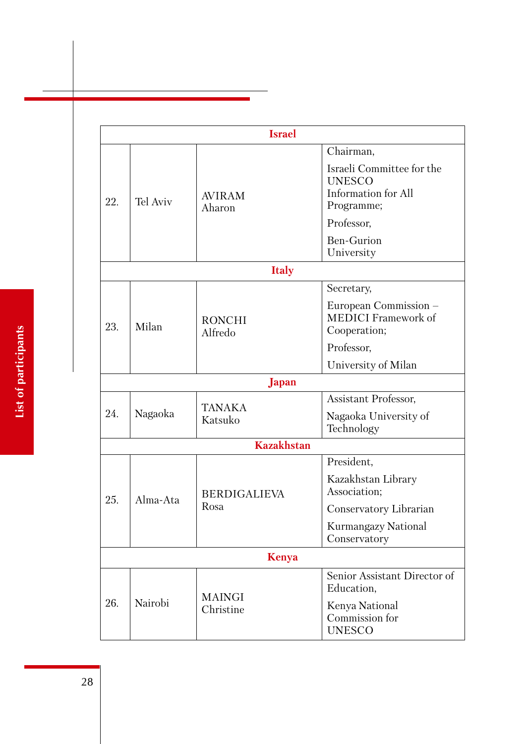|              | <b>Israel</b> |                             |                                                                                                                   |  |
|--------------|---------------|-----------------------------|-------------------------------------------------------------------------------------------------------------------|--|
| 22.          | Tel Aviv      | <b>AVIRAM</b><br>Aharon     | Chairman,<br>Israeli Committee for the<br><b>UNESCO</b><br>Information for All<br>Programme;                      |  |
|              |               |                             | Professor,<br><b>Ben-Gurion</b><br>University                                                                     |  |
|              |               | <b>Italy</b>                |                                                                                                                   |  |
| 23.          | Milan         | <b>RONCHI</b><br>Alfredo    | Secretary,<br>European Commission –<br><b>MEDICI</b> Framework of<br>Cooperation;                                 |  |
|              |               |                             | Professor,<br>University of Milan                                                                                 |  |
|              |               | Japan                       |                                                                                                                   |  |
| 24.          | Nagaoka       | <b>TANAKA</b><br>Katsuko    | Assistant Professor,<br>Nagaoka University of<br>Technology                                                       |  |
|              |               | <b>Kazakhstan</b>           |                                                                                                                   |  |
| 25.          | Alma-Ata      | <b>BERDIGALIEVA</b><br>Rosa | President,<br>Kazakhstan Library<br>Association;<br>Conservatory Librarian<br>Kurmangazy National<br>Conservatory |  |
| <b>Kenya</b> |               |                             |                                                                                                                   |  |
| 26.          | Nairobi       | <b>MAINGI</b><br>Christine  | Senior Assistant Director of<br>Education,<br>Kenya National<br>Commission for<br><b>UNESCO</b>                   |  |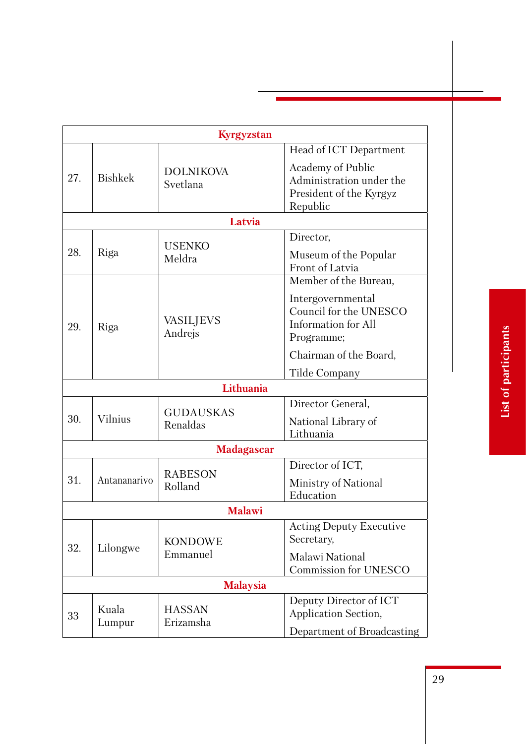|                 |                 | Kyrgyzstan                   |                                                                                                        |
|-----------------|-----------------|------------------------------|--------------------------------------------------------------------------------------------------------|
|                 |                 |                              | Head of ICT Department                                                                                 |
| 27.             | <b>Bishkek</b>  | <b>DOLNIKOVA</b><br>Svetlana | Academy of Public<br>Administration under the<br>President of the Kyrgyz<br>Republic                   |
|                 |                 | Latvia                       |                                                                                                        |
| 28.             | Riga            | <b>USENKO</b><br>Meldra      | Director,<br>Museum of the Popular<br>Front of Latvia                                                  |
|                 |                 |                              | Member of the Bureau,                                                                                  |
| 29.<br>Riga     |                 | <b>VASILJEVS</b><br>Andrejs  | Intergovernmental<br>Council for the UNESCO<br>Information for All<br>Programme;                       |
|                 |                 |                              | Chairman of the Board,                                                                                 |
|                 |                 |                              | Tilde Company                                                                                          |
|                 |                 | Lithuania                    |                                                                                                        |
| 30.             | Vilnius         | <b>GUDAUSKAS</b><br>Renaldas | Director General,<br>National Library of<br>Lithuania                                                  |
|                 |                 | <b>Madagascar</b>            |                                                                                                        |
| 31.             | Antananarivo    | <b>RABESON</b><br>Rolland    | Director of ICT,<br>Ministry of National<br>Education                                                  |
|                 |                 | <b>Malawi</b>                |                                                                                                        |
| 32.             | Lilongwe        | <b>KONDOWE</b><br>Emmanuel   | <b>Acting Deputy Executive</b><br>Secretary,<br><b>Malawi National</b><br><b>Commission for UNESCO</b> |
| <b>Malaysia</b> |                 |                              |                                                                                                        |
| 33              | Kuala<br>Lumpur | <b>HASSAN</b><br>Erizamsha   | Deputy Director of ICT<br>Application Section,<br>Department of Broadcasting                           |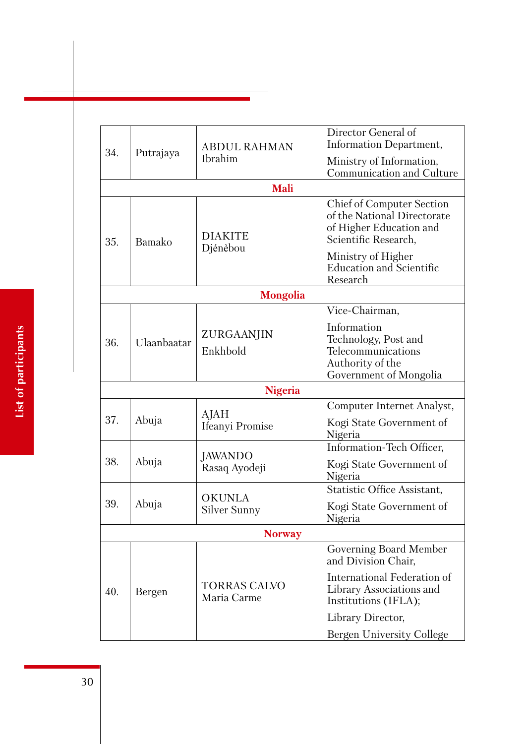|               |             |                                    | Director General of                                                                                                |
|---------------|-------------|------------------------------------|--------------------------------------------------------------------------------------------------------------------|
| 34.           | Putrajaya   | <b>ABDUL RAHMAN</b>                | Information Department,                                                                                            |
|               |             | Ibrahim                            | Ministry of Information,                                                                                           |
|               |             |                                    | Communication and Culture                                                                                          |
|               |             | <b>Mali</b>                        |                                                                                                                    |
| 35.           | Bamako      | <b>DIAKITE</b>                     | <b>Chief of Computer Section</b><br>of the National Directorate<br>of Higher Education and<br>Scientific Research, |
|               |             | Djénèbou                           | Ministry of Higher<br><b>Education and Scientific</b><br>Research                                                  |
|               |             | <b>Mongolia</b>                    |                                                                                                                    |
|               |             |                                    | Vice-Chairman,                                                                                                     |
| 36.           | Ulaanbaatar | ZURGAANJIN<br>Enkhbold             | Information<br>Technology, Post and<br>Telecommunications<br>Authority of the<br>Government of Mongolia            |
|               |             | <b>Nigeria</b>                     |                                                                                                                    |
|               |             |                                    | Computer Internet Analyst,                                                                                         |
| 37.           | Abuja       | AJAH<br>Ifeanyi Promise            | Kogi State Government of<br>Nigeria                                                                                |
|               |             |                                    | Information-Tech Officer,                                                                                          |
| 38.           | Abuja       | JAWANDO<br>Rasaq Ayodeji           | Kogi State Government of<br>Nigeria                                                                                |
|               |             | <b>OKUNLA</b>                      | Statistic Office Assistant,                                                                                        |
| 39.           | Abuja       | Silver Sunny                       | Kogi State Government of<br>Nigeria                                                                                |
| <b>Norway</b> |             |                                    |                                                                                                                    |
|               | Bergen      | <b>TORRAS CALVO</b><br>Maria Carme | Governing Board Member<br>and Division Chair,                                                                      |
| 40.           |             |                                    | International Federation of<br>Library Associations and<br>Institutions (IFLA);                                    |
|               |             |                                    | Library Director,                                                                                                  |
|               |             |                                    | Bergen University College                                                                                          |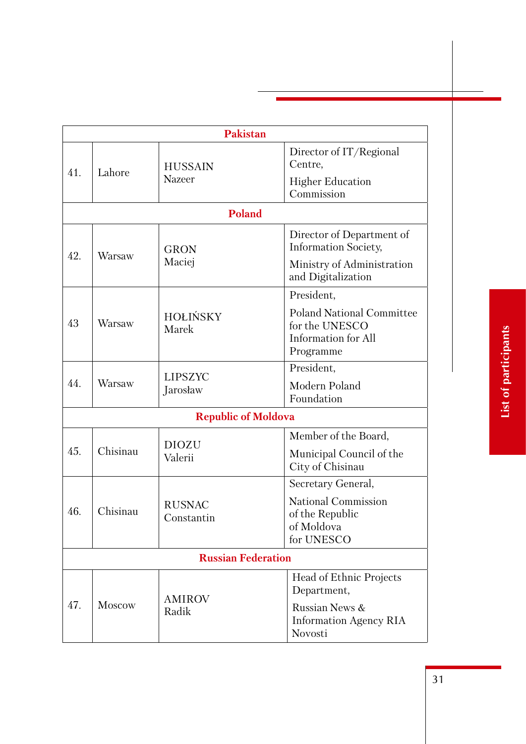|                           |               | <b>Pakistan</b>             |                                                                                        |
|---------------------------|---------------|-----------------------------|----------------------------------------------------------------------------------------|
| 41.                       | Lahore        | <b>HUSSAIN</b>              | Director of IT/Regional<br>Centre,                                                     |
|                           |               | <b>Nazeer</b>               | <b>Higher Education</b><br>Commission                                                  |
|                           |               | <b>Poland</b>               |                                                                                        |
| 42.                       | Warsaw        | <b>GRON</b>                 | Director of Department of<br><b>Information Society,</b>                               |
|                           |               | Maciej                      | Ministry of Administration<br>and Digitalization                                       |
|                           |               |                             | President,                                                                             |
| 43                        | Warsaw        | <b>HOLIŃSKY</b><br>Marek    | <b>Poland National Committee</b><br>for the UNESCO<br>Information for All<br>Programme |
|                           |               | <b>LIPSZYC</b><br>Jarosław  | President,                                                                             |
| 44.                       | Warsaw        |                             | Modern Poland<br>Foundation                                                            |
|                           |               | <b>Republic of Moldova</b>  |                                                                                        |
|                           |               | <b>DIOZU</b>                | Member of the Board,                                                                   |
| 45.                       | Chisinau      | Valerii                     | Municipal Council of the<br>City of Chisinau                                           |
|                           |               |                             | Secretary General,                                                                     |
| 46.                       | Chisinau      | <b>RUSNAC</b><br>Constantin | <b>National Commission</b><br>of the Republic<br>of Moldova<br>for UNESCO              |
| <b>Russian Federation</b> |               |                             |                                                                                        |
| 47.                       | <b>Moscow</b> | <b>AMIROV</b><br>Radik      | Head of Ethnic Projects<br>Department,                                                 |
|                           |               |                             | Russian News &<br><b>Information Agency RIA</b><br>Novosti                             |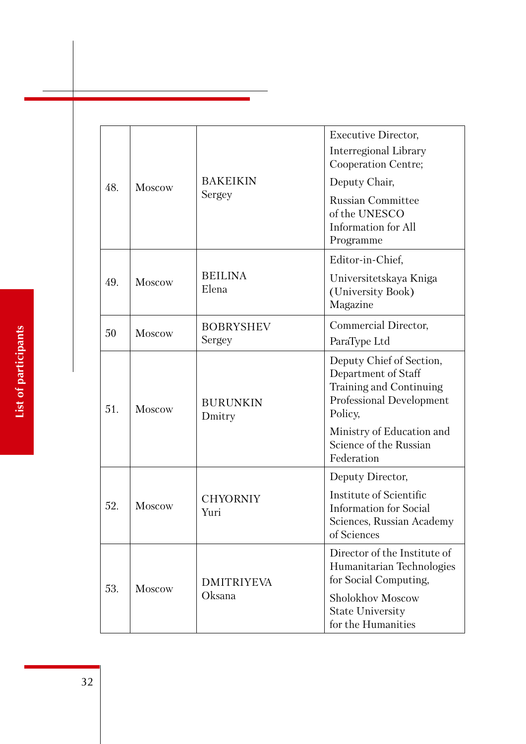| 48. | Moscow        | <b>BAKEIKIN</b><br>Sergey   | <b>Executive Director,</b><br>Interregional Library<br>Cooperation Centre;<br>Deputy Chair,<br><b>Russian Committee</b><br>of the UNESCO<br><b>Information</b> for All<br>Programme    |
|-----|---------------|-----------------------------|----------------------------------------------------------------------------------------------------------------------------------------------------------------------------------------|
| 49. | Moscow        | <b>BEILINA</b><br>Elena     | Editor-in-Chief,<br>Universitetskaya Kniga<br>(University Book)<br>Magazine                                                                                                            |
| 50  | Moscow        | <b>BOBRYSHEV</b><br>Sergey  | Commercial Director,<br>ParaType Ltd                                                                                                                                                   |
| 51. | <b>Moscow</b> | <b>BURUNKIN</b><br>Dmitry   | Deputy Chief of Section,<br>Department of Staff<br>Training and Continuing<br>Professional Development<br>Policy,<br>Ministry of Education and<br>Science of the Russian<br>Federation |
| 52. | <b>Moscow</b> | <b>CHYORNIY</b><br>Yuri     | Deputy Director,<br>Institute of Scientific<br><b>Information</b> for Social<br>Sciences, Russian Academy<br>of Sciences                                                               |
| 53. | <b>Moscow</b> | <b>DMITRIYEVA</b><br>Oksana | Director of the Institute of<br>Humanitarian Technologies<br>for Social Computing,<br>Sholokhov Moscow<br><b>State University</b><br>for the Humanities                                |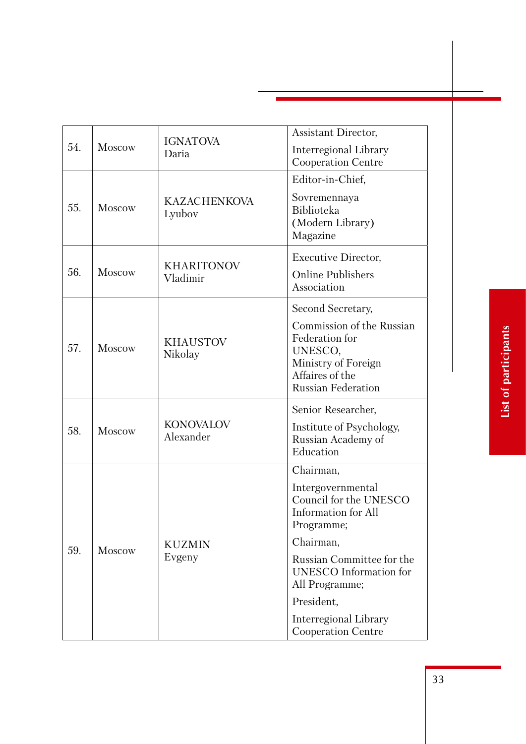|     |               | <b>IGNATOVA</b>               | Assistant Director,                                                                                                           |
|-----|---------------|-------------------------------|-------------------------------------------------------------------------------------------------------------------------------|
| 54. | Moscow        | Daria                         | Interregional Library<br>Cooperation Centre                                                                                   |
|     |               |                               | Editor-in-Chief,                                                                                                              |
| 55. | Moscow        | <b>KAZACHENKOVA</b><br>Lyubov | Sovremennaya<br><b>Biblioteka</b><br>(Modern Library)<br>Magazine                                                             |
|     |               |                               | <b>Executive Director,</b>                                                                                                    |
| 56. | Moscow        | <b>KHARITONOV</b><br>Vladimir | <b>Online Publishers</b><br>Association                                                                                       |
|     |               |                               | Second Secretary,                                                                                                             |
| 57. | <b>Moscow</b> | <b>KHAUSTOV</b><br>Nikolay    | Commission of the Russian<br>Federation for<br>UNESCO,<br>Ministry of Foreign<br>Affaires of the<br><b>Russian Federation</b> |
|     |               |                               | Senior Researcher,                                                                                                            |
| 58. | Moscow        | <b>KONOVALOV</b><br>Alexander | Institute of Psychology,<br>Russian Academy of<br>Education                                                                   |
|     |               |                               | Chairman,                                                                                                                     |
|     |               |                               | Intergovernmental<br>Council for the UNESCO<br>Information for All<br>Programme;                                              |
| 59. | <b>Moscow</b> | <b>KUZMIN</b>                 | Chairman,                                                                                                                     |
|     |               | Evgeny                        | Russian Committee for the<br><b>UNESCO</b> Information for<br>All Programme;                                                  |
|     |               |                               | President,                                                                                                                    |
|     |               |                               | Interregional Library<br><b>Cooperation Centre</b>                                                                            |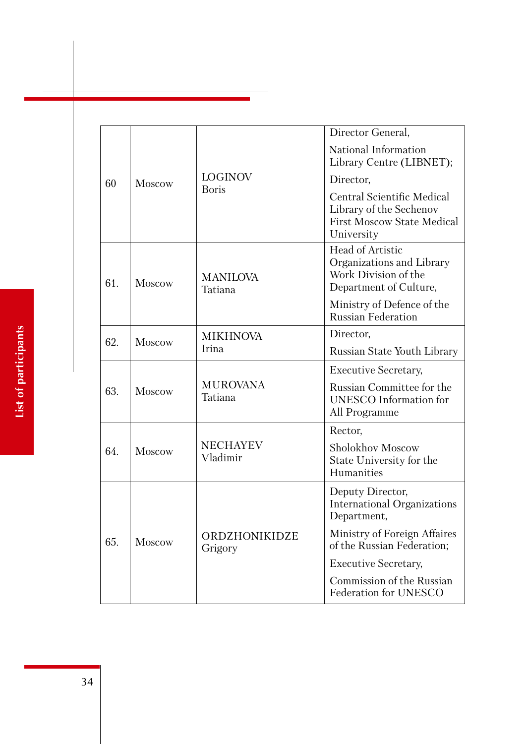|     |               |                             | Director General,                                                                                               |
|-----|---------------|-----------------------------|-----------------------------------------------------------------------------------------------------------------|
|     |               |                             | National Information<br>Library Centre (LIBNET);                                                                |
| 60  | <b>Moscow</b> | <b>LOGINOV</b>              | Director,                                                                                                       |
|     |               | <b>Boris</b>                | <b>Central Scientific Medical</b><br>Library of the Sechenov<br><b>First Moscow State Medical</b><br>University |
| 61. | Moscow        | <b>MANILOVA</b><br>Tatiana  | Head of Artistic<br>Organizations and Library<br>Work Division of the<br>Department of Culture,                 |
|     |               |                             | Ministry of Defence of the<br><b>Russian Federation</b>                                                         |
| 62. |               | <b>MIKHNOVA</b>             | Director,                                                                                                       |
|     | <b>Moscow</b> | Irina                       | Russian State Youth Library                                                                                     |
|     | Moscow        | <b>MUROVANA</b><br>Tatiana  | <b>Executive Secretary,</b>                                                                                     |
| 63. |               |                             | Russian Committee for the<br><b>UNESCO</b> Information for<br>All Programme                                     |
|     |               |                             | Rector,                                                                                                         |
| 64. | Moscow        | <b>NECHAYEV</b><br>Vladimir | Sholokhov Moscow<br>State University for the<br>Humanities                                                      |
|     | <b>Moscow</b> | ORDZHONIKIDZE<br>Grigory    | Deputy Director,<br><b>International Organizations</b><br>Department,                                           |
| 65. |               |                             | Ministry of Foreign Affaires<br>of the Russian Federation;                                                      |
|     |               |                             | <b>Executive Secretary,</b>                                                                                     |
|     |               |                             | Commission of the Russian<br>Federation for UNESCO                                                              |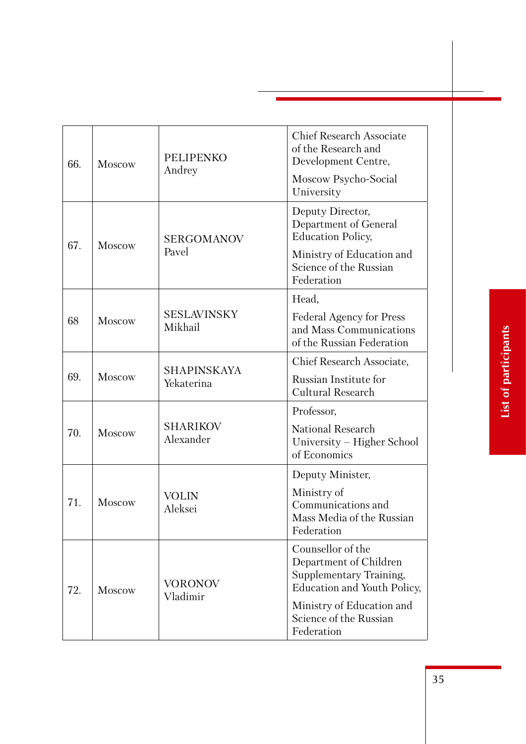| 66. | <b>Moscow</b> | <b>PELIPENKO</b><br>Andrey       | <b>Chief Research Associate</b><br>of the Research and<br>Development Centre,<br>Moscow Psycho-Social<br>University |
|-----|---------------|----------------------------------|---------------------------------------------------------------------------------------------------------------------|
| 67. | <b>Moscow</b> | <b>SERGOMANOV</b>                | Deputy Director,<br>Department of General<br><b>Education Policy,</b>                                               |
|     |               | Pavel                            | Ministry of Education and<br>Science of the Russian<br>Federation                                                   |
|     |               |                                  | Head,                                                                                                               |
| 68  | Moscow        | <b>SESLAVINSKY</b><br>Mikhail    | <b>Federal Agency for Press</b><br>and Mass Communications<br>of the Russian Federation                             |
| 69. | Moscow        | <b>SHAPINSKAYA</b><br>Yekaterina | Chief Research Associate,                                                                                           |
|     |               |                                  | Russian Institute for<br><b>Cultural Research</b>                                                                   |
|     |               |                                  | Professor,                                                                                                          |
| 70. | <b>Moscow</b> | <b>SHARIKOV</b><br>Alexander     | <b>National Research</b><br>University – Higher School<br>of Economics                                              |
|     |               |                                  | Deputy Minister,                                                                                                    |
| 71. | <b>Moscow</b> | <b>VOLIN</b><br>Aleksei          | Ministry of<br>Communications and<br>Mass Media of the Russian<br>Federation                                        |
| 72. | Moscow        | VORONOV<br>Vladimir              | Counsellor of the<br>Department of Children<br>Supplementary Training,<br>Education and Youth Policy,               |
|     |               |                                  | Ministry of Education and<br>Science of the Russian<br>Federation                                                   |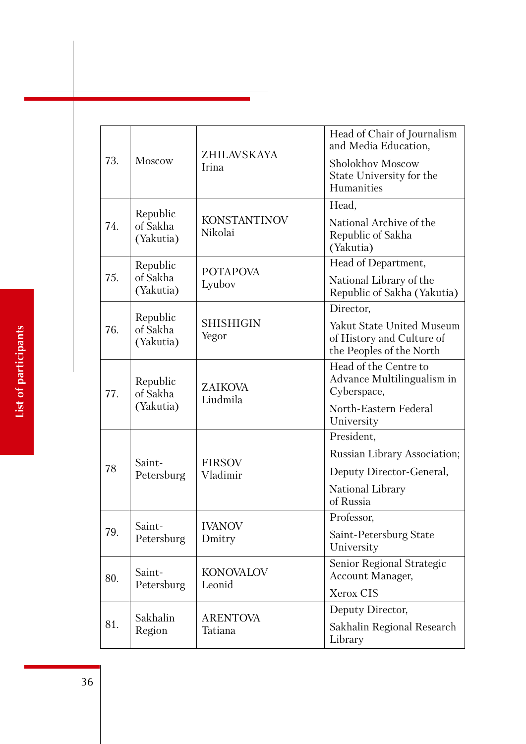|     |                                   | ZHILAVSKAYA<br>Irina           | Head of Chair of Journalism<br>and Media Education,                                |
|-----|-----------------------------------|--------------------------------|------------------------------------------------------------------------------------|
| 73. | <b>Moscow</b>                     |                                | Sholokhov Moscow<br>State University for the<br>Humanities                         |
|     |                                   |                                | Head,                                                                              |
| 74. | Republic<br>of Sakha<br>(Yakutia) | <b>KONSTANTINOV</b><br>Nikolai | National Archive of the<br>Republic of Sakha<br>(Yakutia)                          |
|     | Republic                          | <b>POTAPOVA</b>                | Head of Department,                                                                |
| 75. | of Sakha<br>(Yakutia)             | Lyubov                         | National Library of the<br>Republic of Sakha (Yakutia)                             |
|     | Republic                          |                                | Director,                                                                          |
| 76. | of Sakha<br>(Yakutia)             | <b>SHISHIGIN</b><br>Yegor      | Yakut State United Museum<br>of History and Culture of<br>the Peoples of the North |
| 77. | Republic<br>of Sakha<br>(Yakutia) | <b>ZAIKOVA</b><br>Liudmila     | Head of the Centre to<br>Advance Multilingualism in<br>Cyberspace,                 |
|     |                                   |                                | North-Eastern Federal<br>University                                                |
|     |                                   |                                | President,                                                                         |
|     | Saint-<br>Petersburg              | <b>FIRSOV</b><br>Vladimir      | Russian Library Association;                                                       |
| 78  |                                   |                                | Deputy Director-General,                                                           |
|     |                                   |                                | National Library<br>of Russia                                                      |
|     | Saint-                            | <b>IVANOV</b>                  | Professor,                                                                         |
| 79. | Petersburg                        | Dmitry                         | Saint-Petersburg State<br>University                                               |
| 80. | Saint-<br>Petersburg              | <b>KONOVALOV</b><br>Leonid     | Senior Regional Strategic<br>Account Manager,                                      |
|     |                                   |                                | Xerox CIS                                                                          |
|     | Sakhalin                          | <b>ARENTOVA</b><br>Tatiana     | Deputy Director,                                                                   |
| 81. | Region                            |                                | Sakhalin Regional Research<br>Library                                              |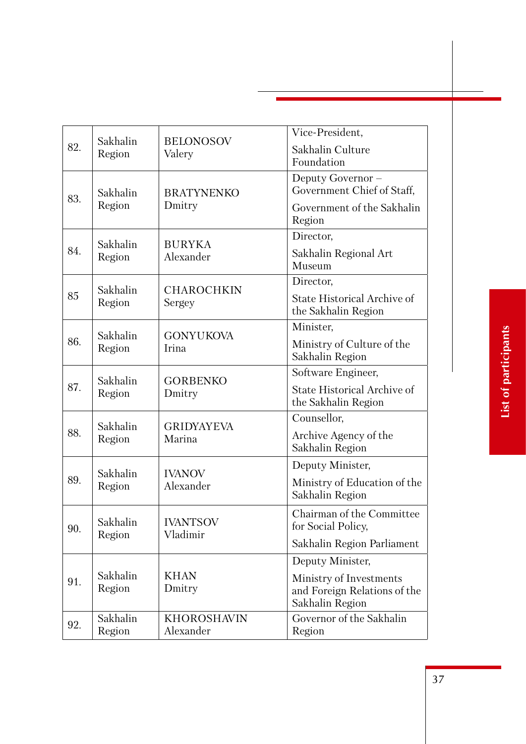|     |                    |                                 | Vice-President,                                    |
|-----|--------------------|---------------------------------|----------------------------------------------------|
| 82. | Sakhalin<br>Region | <b>BELONOSOV</b><br>Valery      | Sakhalin Culture                                   |
|     |                    |                                 | Foundation                                         |
|     |                    |                                 | Deputy Governor -                                  |
| 83. | Sakhalin           | <b>BRATYNENKO</b>               | Government Chief of Staff,                         |
|     | Region             | Dmitry                          | Government of the Sakhalin<br>Region               |
|     |                    |                                 | Director,                                          |
| 84. | Sakhalin<br>Region | <b>BURYKA</b><br>Alexander      | Sakhalin Regional Art<br>Museum                    |
|     | Sakhalin           | <b>CHAROCHKIN</b>               | Director,                                          |
| 85  | Region             | Sergey                          | State Historical Archive of<br>the Sakhalin Region |
|     | Sakhalin           |                                 | Minister,                                          |
| 86. | Region             | <b>GONYUKOVA</b><br>Irina       | Ministry of Culture of the<br>Sakhalin Region      |
|     |                    |                                 | Software Engineer,                                 |
| 87. | Sakhalin<br>Region | <b>GORBENKO</b><br>Dmitry       | State Historical Archive of<br>the Sakhalin Region |
|     |                    |                                 | Counsellor,                                        |
| 88. | Sakhalin<br>Region | <b>GRIDYAYEVA</b><br>Marina     | Archive Agency of the                              |
|     |                    |                                 | Sakhalin Region                                    |
|     | Sakhalin           | <b>IVANOV</b>                   | Deputy Minister,                                   |
| 89. | Region             | Alexander                       | Ministry of Education of the<br>Sakhalin Region    |
| 90. | Sakhalin           | <b>IVANTSOV</b>                 | Chairman of the Committee<br>for Social Policy,    |
|     | Region             | Vladimir                        | Sakhalin Region Parliament                         |
|     |                    |                                 | Deputy Minister,                                   |
| 91. | Sakhalin           | <b>KHAN</b><br>Dmitry           | Ministry of Investments                            |
|     | Region             |                                 | and Foreign Relations of the                       |
|     |                    |                                 | Sakhalin Region                                    |
| 92. | Sakhalin<br>Region | <b>KHOROSHAVIN</b><br>Alexander | Governor of the Sakhalin<br>Region                 |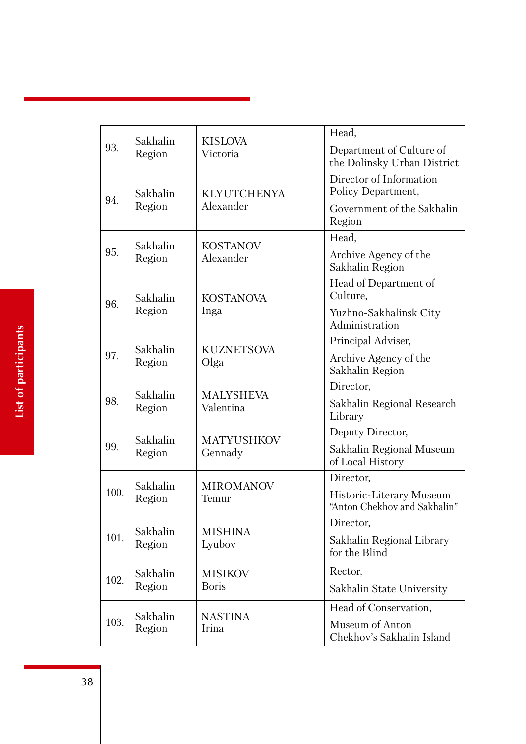|      | Sakhalin                      | <b>KISLOVA</b>                | Head,                                                    |
|------|-------------------------------|-------------------------------|----------------------------------------------------------|
| 93.  | Region                        | Victoria                      | Department of Culture of<br>the Dolinsky Urban District  |
|      | Sakhalin                      | <b>KLYUTCHENYA</b>            | Director of Information<br>Policy Department,            |
| 94.  | Region                        | Alexander                     | Government of the Sakhalin<br>Region                     |
|      | Sakhalin                      | <b>KOSTANOV</b>               | Head,                                                    |
| 95.  | Region                        | Alexander                     | Archive Agency of the<br>Sakhalin Region                 |
| 96.  | Sakhalin                      | <b>KOSTANOVA</b>              | Head of Department of<br>Culture,                        |
|      | Region                        | Inga                          | Yuzhno-Sakhalinsk City<br>Administration                 |
|      | Sakhalin                      | <b>KUZNETSOVA</b>             | Principal Adviser,                                       |
| 97.  | Region                        | Olga                          | Archive Agency of the<br>Sakhalin Region                 |
|      | Sakhalin                      | <b>MALYSHEVA</b><br>Valentina | Director,                                                |
| 98.  | Region                        |                               | Sakhalin Regional Research<br>Library                    |
|      | Sakhalin<br><b>MATYUSHKOV</b> | Deputy Director,              |                                                          |
| 99.  | Region                        | Gennady                       | Sakhalin Regional Museum<br>of Local History             |
|      | Sakhalin                      | <b>MIROMANOV</b>              | Director,                                                |
| 100. | Region                        | Temur                         | Historic-Literary Museum<br>"Anton Chekhov and Sakhalin" |
|      | Sakhalin                      | <b>MISHINA</b>                | Director,                                                |
| 101. | Region                        | Lyubov                        | Sakhalin Regional Library<br>for the Blind               |
|      | Sakhalin                      | <b>MISIKOV</b>                | Rector,                                                  |
| 102. | Region                        | <b>Boris</b>                  | Sakhalin State University                                |
|      |                               |                               | Head of Conservation,                                    |
| 103. | Sakhalin<br>Region            | <b>NASTINA</b><br>Irina       | Museum of Anton<br>Chekhov's Sakhalin Island             |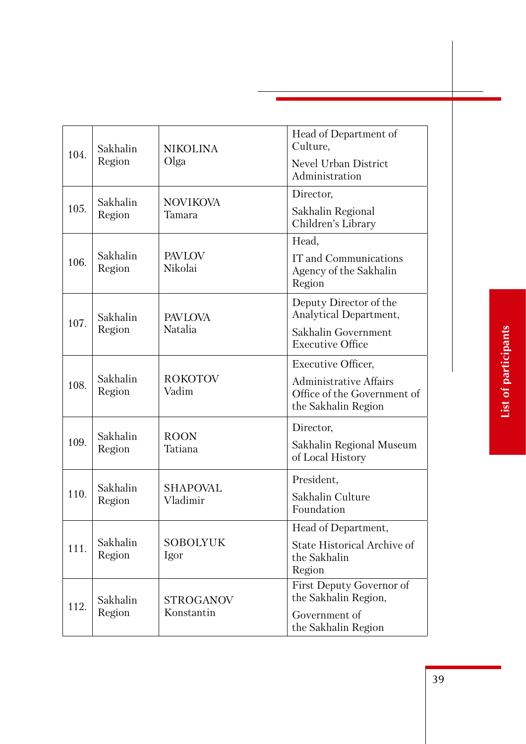|      |                    |                                | Head of Department of                          |
|------|--------------------|--------------------------------|------------------------------------------------|
| 104. | Sakhalin<br>Region | <b>NIKOLINA</b>                | Culture,                                       |
|      |                    | Olga                           | Nevel Urban District                           |
|      |                    |                                | Administration                                 |
|      | Sakhalin           | <b>NOVIKOVA</b>                | Director,                                      |
| 105. | Region             | Tamara                         | Sakhalin Regional<br>Children's Library        |
|      |                    |                                | Head,                                          |
| 106. | Sakhalin           | <b>PAVLOV</b><br>Nikolai       | IT and Communications                          |
|      | Region             |                                | Agency of the Sakhalin<br>Region               |
|      |                    |                                | Deputy Director of the                         |
| 107. | Sakhalin           | <b>PAVLOVA</b><br>Natalia      | Analytical Department,                         |
|      | Region             |                                | Sakhalin Government<br><b>Executive Office</b> |
|      |                    |                                | <b>Executive Officer,</b>                      |
| 108. | Sakhalin           | <b>ROKOTOV</b>                 | <b>Administrative Affairs</b>                  |
|      | Region             | Vadim                          | Office of the Government of                    |
|      |                    |                                | the Sakhalin Region                            |
| 109. | Sakhalin           | <b>ROON</b><br>Tatiana         | Director,                                      |
|      | Region             |                                | Sakhalin Regional Museum<br>of Local History   |
|      |                    |                                | President,                                     |
| 110. | Sakhalin<br>Region | <b>SHAPOVAL</b><br>Vladimir    | Sakhalin Culture                               |
|      |                    |                                | Foundation                                     |
|      |                    |                                | Head of Department,                            |
| 111. | Sakhalin<br>Region | <b>SOBOLYUK</b><br>Igor        | State Historical Archive of<br>the Sakhalin    |
|      |                    |                                | Region                                         |
|      |                    |                                | First Deputy Governor of                       |
| 112. | Sakhalin<br>Region | <b>STROGANOV</b><br>Konstantin | the Sakhalin Region,                           |
|      |                    |                                | Government of                                  |
|      |                    |                                | the Sakhalin Region                            |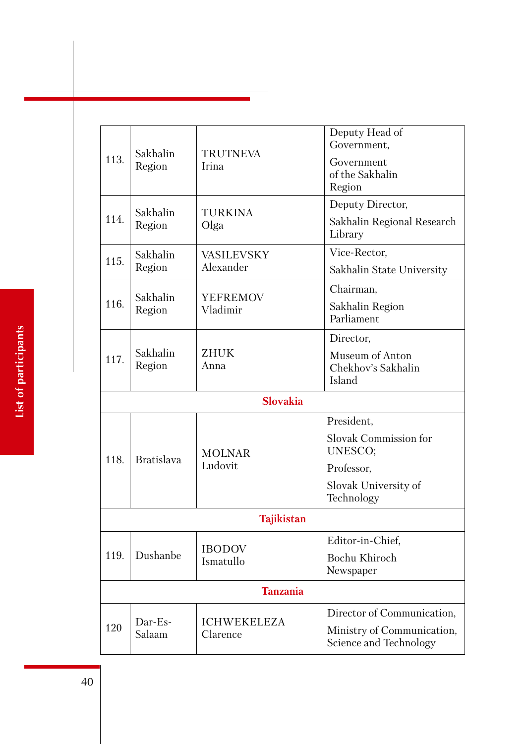| 113. | Sakhalin<br>Region | <b>TRUTNEVA</b><br>Irina       | Deputy Head of<br>Government,<br>Government<br>of the Sakhalin<br>Region                    |
|------|--------------------|--------------------------------|---------------------------------------------------------------------------------------------|
| 114. | Sakhalin<br>Region | <b>TURKINA</b><br>Olga         | Deputy Director,<br>Sakhalin Regional Research<br>Library                                   |
| 115. | Sakhalin           | <b>VASILEVSKY</b>              | Vice-Rector,                                                                                |
|      | Region             | Alexander                      | Sakhalin State University                                                                   |
| 116. | Sakhalin<br>Region | <b>YEFREMOV</b><br>Vladimir    | Chairman,<br>Sakhalin Region<br>Parliament                                                  |
| 117. | Sakhalin<br>Region | ZHUK<br>Anna                   | Director,<br>Museum of Anton<br>Chekhov's Sakhalin<br>Island                                |
|      |                    | <b>Slovakia</b>                |                                                                                             |
| 118. | <b>Bratislava</b>  | <b>MOLNAR</b><br>Ludovit       | President,<br><b>Slovak Commission for</b><br>UNESCO;<br>Professor,<br>Slovak University of |
|      |                    |                                | Technology                                                                                  |
|      |                    | <b>Tajikistan</b>              |                                                                                             |
| 119. | Dushanbe           | <b>IBODOV</b><br>Ismatullo     | Editor-in-Chief,<br>Bochu Khiroch<br>Newspaper                                              |
|      |                    | <b>Tanzania</b>                |                                                                                             |
| 120  | Dar-Es-<br>Salaam  | <b>ICHWEKELEZA</b><br>Clarence | Director of Communication,<br>Ministry of Communication,<br>Science and Technology          |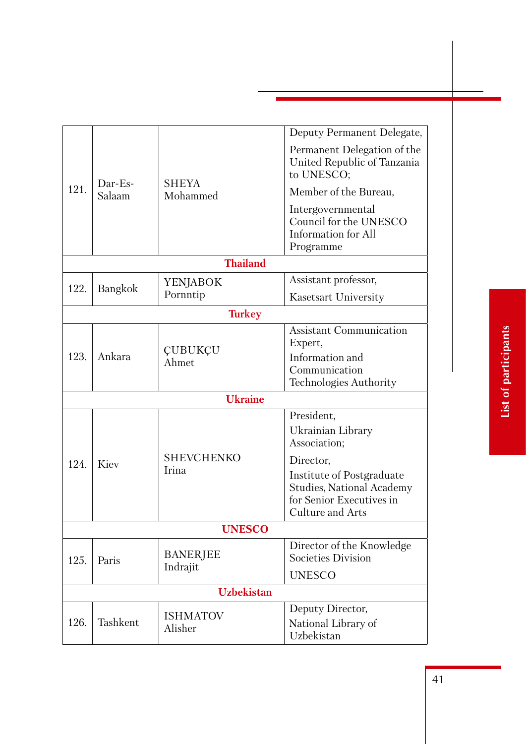|                |                   |                             | Deputy Permanent Delegate,                                                                                                                                                           |  |
|----------------|-------------------|-----------------------------|--------------------------------------------------------------------------------------------------------------------------------------------------------------------------------------|--|
|                |                   |                             | Permanent Delegation of the<br>United Republic of Tanzania<br>to UNESCO;                                                                                                             |  |
| 121.           | Dar-Es-<br>Salaam | <b>SHEYA</b><br>Mohammed    | Member of the Bureau,                                                                                                                                                                |  |
|                |                   |                             | Intergovernmental<br>Council for the UNESCO<br>Information for All<br>Programme                                                                                                      |  |
|                |                   | <b>Thailand</b>             |                                                                                                                                                                                      |  |
|                |                   | YENJABOK                    | Assistant professor,                                                                                                                                                                 |  |
| 122.           | Bangkok           | Pornntip                    | Kasetsart University                                                                                                                                                                 |  |
| <b>Turkey</b>  |                   |                             |                                                                                                                                                                                      |  |
| 123.           | Ankara            | ÇUBUKÇU<br>Ahmet            | <b>Assistant Communication</b><br>Expert,<br>Information and<br>Communication<br>Technologies Authority                                                                              |  |
| <b>Ukraine</b> |                   |                             |                                                                                                                                                                                      |  |
| 124.           | Kiev              | <b>SHEVCHENKO</b><br>Irina  | President,<br>Ukrainian Library<br>Association;<br>Director,<br>Institute of Postgraduate<br><b>Studies, National Academy</b><br>for Senior Executives in<br><b>Culture and Arts</b> |  |
|                |                   | <b>UNESCO</b>               |                                                                                                                                                                                      |  |
| 125.           | Paris             | <b>BANERJEE</b><br>Indrajit | Director of the Knowledge<br><b>Societies Division</b>                                                                                                                               |  |
|                |                   |                             | <b>UNESCO</b>                                                                                                                                                                        |  |
|                |                   | <b>Uzbekistan</b>           |                                                                                                                                                                                      |  |
| 126.           | Tashkent          | <b>ISHMATOV</b><br>Alisher  | Deputy Director,<br>National Library of<br>Uzbekistan                                                                                                                                |  |